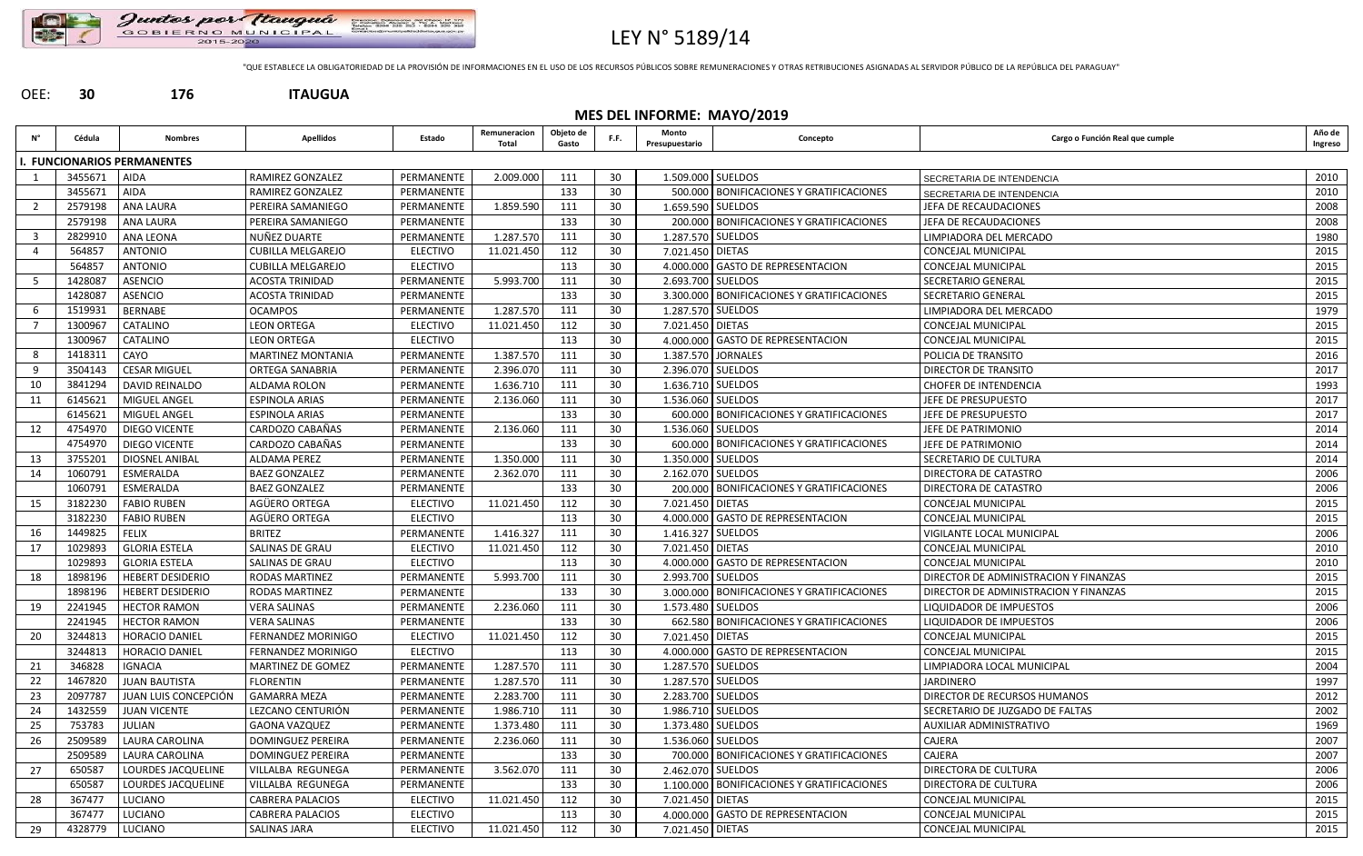

# LEY N° 5189/14

"QUE ESTABLECE LA OBLIGATORIEDAD DE LA PROVISIÓN DE INFORMACIONES EN EL USO DE LOS RECURSOS PÚBLICOS SOBRE REMUNERACIONES Y OTRAS RETRIBUCIONES ASIGNADAS AL SERVIDOR PÚBLICO DE LA REPÚBLICA DEL PARAGUAY"

## OEE: **30 176 ITAUGUA**

|    | MES DEL INFORME: MAYO/2019 |                                 |                           |                 |                       |                    |      |                         |                                              |                                       |                   |  |  |
|----|----------------------------|---------------------------------|---------------------------|-----------------|-----------------------|--------------------|------|-------------------------|----------------------------------------------|---------------------------------------|-------------------|--|--|
| Ν° | Cédula                     | <b>Nombres</b>                  | <b>Apellidos</b>          | Estado          | Remuneracion<br>Total | Objeto de<br>Gasto | F.F. | Monto<br>Presupuestario | Concepto                                     | Cargo o Función Real que cumple       | Año de<br>Ingreso |  |  |
|    |                            | <b>FUNCIONARIOS PERMANENTES</b> |                           |                 |                       |                    |      |                         |                                              |                                       |                   |  |  |
|    | 3455671                    | <b>AIDA</b>                     | RAMIREZ GONZALEZ          | PERMANENTE      | 2.009.000             | 111                | 30   | 1.509.000 SUELDOS       |                                              | SECRETARIA DE INTENDENCIA             | 2010              |  |  |
|    | 3455671                    | <b>AIDA</b>                     | RAMIREZ GONZALEZ          | PERMANENTE      |                       | 133                | 30   |                         | 500.000   BONIFICACIONES Y GRATIFICACIONES   | SECRETARIA DE INTENDENCIA             | 2010              |  |  |
|    | 2579198                    | <b>ANA LAURA</b>                | PEREIRA SAMANIEGO         | PERMANENTE      | 1.859.590             | 111                | 30   | 1.659.590 SUELDOS       |                                              | JEFA DE RECAUDACIONES                 | 2008              |  |  |
|    | 2579198                    | <b>ANA LAURA</b>                | PEREIRA SAMANIEGO         | PERMANENTE      |                       | 133                | 30   |                         | 200.000 BONIFICACIONES Y GRATIFICACIONES     | JEFA DE RECAUDACIONES                 | 2008              |  |  |
|    | 2829910                    | <b>ANA LEONA</b>                | NUÑEZ DUARTE              | PERMANENTE      | 1.287.570             | 111                | 30   | 1.287.570 SUELDOS       |                                              | LIMPIADORA DEL MERCADO                | 1980              |  |  |
|    | 564857                     | <b>ANTONIO</b>                  | <b>CUBILLA MELGAREJO</b>  | <b>ELECTIVO</b> | 11.021.450            | 112                | 30   | 7.021.450 DIETAS        |                                              | <b>CONCEJAL MUNICIPAL</b>             | 2015              |  |  |
|    | 564857                     | <b>ANTONIO</b>                  | <b>CUBILLA MELGAREJO</b>  | <b>ELECTIVO</b> |                       | 113                | 30   |                         | 4.000.000 GASTO DE REPRESENTACION            | <b>CONCEJAL MUNICIPAL</b>             | 2015              |  |  |
|    | 1428087                    | <b>ASENCIO</b>                  | <b>ACOSTA TRINIDAD</b>    | PERMANENTE      | 5.993.700             | 111                | 30   | 2.693.700 SUELDOS       |                                              | <b>SECRETARIO GENERAL</b>             | 2015              |  |  |
|    | 1428087                    | <b>ASENCIO</b>                  | ACOSTA TRINIDAD           | PERMANENTE      |                       | 133                | 30   |                         | 3.300.000   BONIFICACIONES Y GRATIFICACIONES | SECRETARIO GENERAL                    | 2015              |  |  |
|    | 1519931                    | <b>BERNABE</b>                  | <b>OCAMPOS</b>            | PERMANENTE      | 1.287.570             | 111                | 30   | 1.287.570 SUELDOS       |                                              | LIMPIADORA DEL MERCADO                | 1979              |  |  |
|    | 1300967                    | CATALINO                        | <b>LEON ORTEGA</b>        | <b>ELECTIVO</b> | 11.021.450            | 112                | 30   | 7.021.450 DIETAS        |                                              | <b>CONCEJAL MUNICIPAL</b>             | 2015              |  |  |
|    | 1300967                    | CATALINO                        | <b>LEON ORTEGA</b>        | <b>ELECTIVO</b> |                       | 113                | 30   |                         | 4.000.000 GASTO DE REPRESENTACION            | CONCEJAL MUNICIPAL                    | 2015              |  |  |
|    | 1418311                    | CAYO                            | <b>MARTINEZ MONTANIA</b>  | PERMANENTE      | 1.387.570             | 111                | 30   |                         | 1.387.570 JORNALES                           | POLICIA DE TRANSITO                   | 2016              |  |  |
| -9 | 3504143                    | <b>CESAR MIGUEL</b>             | ORTEGA SANABRIA           | PERMANENTE      | 2.396.070             | 111                | 30   | 2.396.070 SUELDOS       |                                              | <b>DIRECTOR DE TRANSITO</b>           | 2017              |  |  |
| 10 | 3841294                    | <b>DAVID REINALDO</b>           | ALDAMA ROLON              | PERMANENTE      | 1.636.710             | 111                | 30   | 1.636.710 SUELDOS       |                                              | <b>CHOFER DE INTENDENCIA</b>          | 1993              |  |  |
| 11 | 6145621                    | MIGUEL ANGEL                    | <b>ESPINOLA ARIAS</b>     | PERMANENTE      | 2.136.060             | 111                | 30   |                         | 1.536.060 SUELDOS                            | JEFE DE PRESUPUESTO                   | 2017              |  |  |
|    | 6145621                    | MIGUEL ANGEL                    | ESPINOLA ARIAS            | PERMANENTE      |                       | 133                | -30  |                         | 600.000   BONIFICACIONES Y GRATIFICACIONES   | JEFE DE PRESUPUESTO                   | 2017              |  |  |
| 12 | 4754970                    | DIEGO VICENTE                   | CARDOZO CABAÑAS           | PERMANENTE      | 2.136.060             | 111                | 30   |                         | 1.536.060   SUELDOS                          | JEFE DE PATRIMONIO                    | 2014              |  |  |
|    | 4754970                    | <b>DIEGO VICENTE</b>            | CARDOZO CABAÑAS           | PERMANENTE      |                       | 133                | 30   |                         | 600.000   BONIFICACIONES Y GRATIFICACIONES   | JEFE DE PATRIMONIO                    | 2014              |  |  |
| 13 | 3755201                    | DIOSNEL ANIBAL                  | ALDAMA PEREZ              | PERMANENTE      | 1.350.000             | 111                | 30   | 1.350.000 SUELDOS       |                                              | SECRETARIO DE CULTURA                 | 2014              |  |  |
| 14 | 1060791                    | ESMERALDA                       | <b>BAEZ GONZALEZ</b>      | PERMANENTE      | 2.362.070             | 111                | 30   | 2.162.070 SUELDOS       |                                              | <b>DIRECTORA DE CATASTRO</b>          | 2006              |  |  |
|    | 1060791                    | ESMERALDA                       | <b>BAEZ GONZALEZ</b>      | PERMANENTE      |                       | 133                | 30   |                         | 200.000   BONIFICACIONES Y GRATIFICACIONES   | <b>DIRECTORA DE CATASTRO</b>          | 2006              |  |  |
| 15 | 3182230                    | <b>FABIO RUBEN</b>              | AGÜERO ORTEGA             | <b>ELECTIVO</b> | 11.021.450            | 112                | 30   | 7.021.450 DIETAS        |                                              | <b>CONCEJAL MUNICIPAL</b>             | 2015              |  |  |
|    | 3182230                    | <b>FABIO RUBEN</b>              | AGÜERO ORTEGA             | <b>ELECTIVO</b> |                       | 113                | 30   |                         | 4.000.000 GASTO DE REPRESENTACION            | <b>CONCEJAL MUNICIPAL</b>             | 2015              |  |  |
| 16 | 1449825                    | <b>FELIX</b>                    | <b>BRITEZ</b>             | PERMANENTE      | 1.416.327             | 111                | 30   | 1.416.327 SUELDOS       |                                              | VIGILANTE LOCAL MUNICIPAL             | 2006              |  |  |
| 17 | 1029893                    | <b>GLORIA ESTELA</b>            | SALINAS DE GRAU           | <b>ELECTIVO</b> | 11.021.450            | 112                | 30   | 7.021.450 DIETAS        |                                              | CONCEJAL MUNICIPAL                    | 2010              |  |  |
|    | 1029893                    | <b>GLORIA ESTELA</b>            | SALINAS DE GRAU           | <b>ELECTIVO</b> |                       | 113                | 30   |                         | 4.000.000 GASTO DE REPRESENTACION            | <b>CONCEJAL MUNICIPAL</b>             | 2010              |  |  |
| 18 | 1898196                    | <b>HEBERT DESIDERIO</b>         | <b>RODAS MARTINEZ</b>     | PERMANENTE      | 5.993.700             | 111                | 30   | 2.993.700 SUELDOS       |                                              | DIRECTOR DE ADMINISTRACION Y FINANZAS | 2015              |  |  |
|    | 1898196                    | <b>HEBERT DESIDERIO</b>         | RODAS MARTINEZ            | PERMANENTE      |                       | 133                | 30   |                         | 3.000.000 BONIFICACIONES Y GRATIFICACIONES   | DIRECTOR DE ADMINISTRACION Y FINANZAS | 2015              |  |  |
| 19 | 2241945                    | <b>HECTOR RAMON</b>             | <b>VERA SALINAS</b>       | PERMANENTE      | 2.236.060             | 111                | 30   |                         | 1.573.480 SUELDOS                            | LIQUIDADOR DE IMPUESTOS               | 2006              |  |  |
|    | 2241945                    | <b>HECTOR RAMON</b>             | <b>VERA SALINAS</b>       | PERMANENTE      |                       | 133                | 30   |                         | 662.580   BONIFICACIONES Y GRATIFICACIONES   | <b>LIQUIDADOR DE IMPUESTOS</b>        | 2006              |  |  |
| 20 | 3244813                    | <b>HORACIO DANIEL</b>           | FERNANDEZ MORINIGO        | <b>ELECTIVO</b> | 11.021.450            | 112                | 30   | 7.021.450 DIETAS        |                                              | <b>CONCEJAL MUNICIPAL</b>             | 2015              |  |  |
|    | 3244813                    | <b>HORACIO DANIEL</b>           | <b>FERNANDEZ MORINIGO</b> | <b>ELECTIVO</b> |                       | 113                | 30   |                         | 4.000.000 GASTO DE REPRESENTACION            | <b>CONCEJAL MUNICIPAL</b>             | 2015              |  |  |
| 21 | 346828                     | <b>IGNACIA</b>                  | MARTINEZ DE GOMEZ         | PERMANENTE      | 1.287.570             | 111                | 30   | 1.287.570 SUELDOS       |                                              | LIMPIADORA LOCAL MUNICIPAL            | 2004              |  |  |
| 22 | 1467820                    | <b>JUAN BAUTISTA</b>            | <b>FLORENTIN</b>          | PERMANENTE      | 1.287.570             | 111                | 30   | 1.287.570 SUELDOS       |                                              | JARDINERO                             | 1997              |  |  |
| 23 | 2097787                    | JUAN LUIS CONCEPCIÓN            | <b>GAMARRA MEZA</b>       | PERMANENTE      | 2.283.700             | 111                | 30   | 2.283.700 SUELDOS       |                                              | DIRECTOR DE RECURSOS HUMANOS          | 2012              |  |  |
| 24 | 1432559                    | <b>JUAN VICENTE</b>             | LEZCANO CENTURIÓN         | PERMANENTE      | 1.986.710             | 111                | 30   |                         | 1.986.710 SUELDOS                            | SECRETARIO DE JUZGADO DE FALTAS       | 2002              |  |  |
| 25 | 753783                     | JULIAN                          | <b>GAONA VAZQUEZ</b>      | PERMANENTE      | 1.373.480             | 111                | 30   | 1.373.480 SUELDOS       |                                              | <b>AUXILIAR ADMINISTRATIVO</b>        | 1969              |  |  |
| 26 | 2509589                    | <b>LAURA CAROLINA</b>           | <b>DOMINGUEZ PEREIRA</b>  | PERMANENTE      | 2.236.060             | 111                | 30   |                         | 1.536.060 SUELDOS                            | <b>CAJERA</b>                         | 2007              |  |  |
|    | 2509589                    | LAURA CAROLINA                  | DOMINGUEZ PEREIRA         | PERMANENTE      |                       | 133                | 30   |                         | 700.000   BONIFICACIONES Y GRATIFICACIONES   | <b>CAJERA</b>                         | 2007              |  |  |
| 27 | 650587                     | LOURDES JACQUELINE              | <b>VILLALBA REGUNEGA</b>  | PERMANENTE      | 3.562.070             | 111                | 30   |                         | 2.462.070 SUELDOS                            | <b>DIRECTORA DE CULTURA</b>           | 2006              |  |  |
|    | 650587                     | LOURDES JACQUELINE              | VILLALBA REGUNEGA         | PERMANENTE      |                       | 133                | 30   |                         | 1.100.000 BONIFICACIONES Y GRATIFICACIONES   | <b>DIRECTORA DE CULTURA</b>           | 2006              |  |  |
| 28 | 367477                     | LUCIANO                         | <b>CABRERA PALACIOS</b>   | <b>ELECTIVO</b> | 11.021.450            | 112                | 30   | 7.021.450 DIETAS        |                                              | <b>CONCEJAL MUNICIPAL</b>             | 2015              |  |  |
|    | 367477                     | LUCIANO                         | <b>CABRERA PALACIOS</b>   | <b>ELECTIVO</b> |                       | 113                | 30   |                         | 4.000.000 GASTO DE REPRESENTACION            | <b>CONCEJAL MUNICIPAL</b>             | 2015              |  |  |
|    |                            |                                 |                           |                 |                       |                    |      |                         |                                              |                                       |                   |  |  |
| 29 | 4328779                    | LUCIANO                         | SALINAS JARA              | <b>ELECTIVO</b> | 11.021.450            | 112                | 30   | 7.021.450 DIETAS        |                                              | <b>CONCEJAL MUNICIPAL</b>             | 2015              |  |  |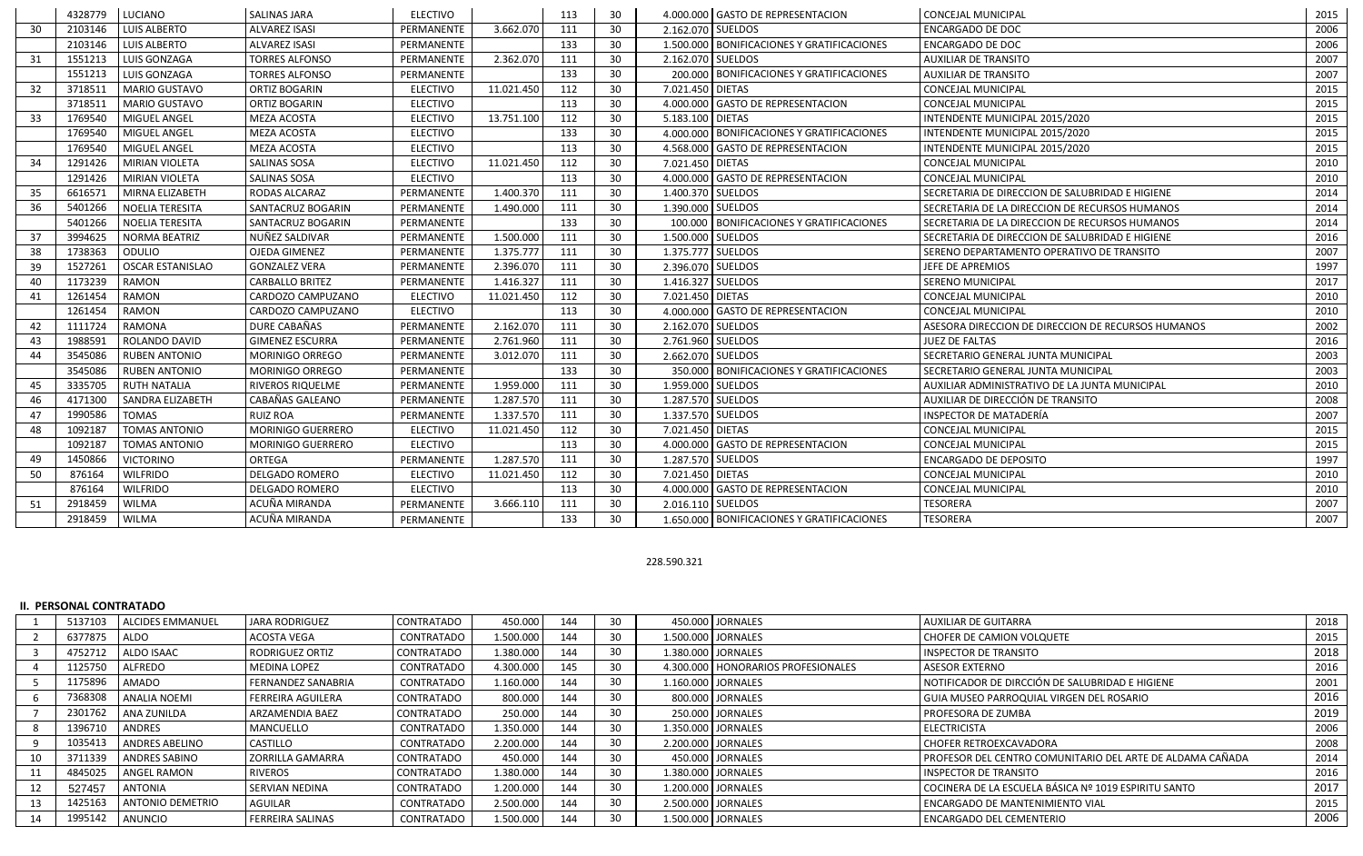|                 | 4328779 | LUCIANO                 | <b>SALINAS JARA</b>    | <b>ELECTIVO</b> |            | 113 | 30              |                   | 4.000.000 GASTO DE REPRESENTACION            | <b>CONCEJAL MUNICIPAL</b>                          | 2015 |
|-----------------|---------|-------------------------|------------------------|-----------------|------------|-----|-----------------|-------------------|----------------------------------------------|----------------------------------------------------|------|
| 30 <sub>o</sub> | 2103146 | <b>LUIS ALBERTO</b>     | <b>ALVAREZ ISASI</b>   | PERMANENTE      | 3.662.070  | 111 | 30 <sup>°</sup> | 2.162.070 SUELDOS |                                              | <b>ENCARGADO DE DOC</b>                            | 2006 |
|                 | 2103146 | <b>LUIS ALBERTO</b>     | <b>ALVAREZ ISASI</b>   | PERMANENTE      |            | 133 | 30              |                   | 1.500.000   BONIFICACIONES Y GRATIFICACIONES | <b>ENCARGADO DE DOC</b>                            | 2006 |
| 31              | 1551213 | <b>LUIS GONZAGA</b>     | <b>TORRES ALFONSO</b>  | PERMANENTE      | 2.362.070  | 111 | 30              | 2.162.070 SUELDOS |                                              | <b>AUXILIAR DE TRANSITO</b>                        | 2007 |
|                 | 1551213 | <b>LUIS GONZAGA</b>     | <b>TORRES ALFONSO</b>  | PERMANENTE      |            | 133 | 30              |                   | 200.000 BONIFICACIONES Y GRATIFICACIONES     | <b>AUXILIAR DE TRANSITO</b>                        | 2007 |
| 32              | 3718511 | MARIO GUSTAVO           | ORTIZ BOGARIN          | <b>ELECTIVO</b> | 11.021.450 | 112 | 30              | 7.021.450 DIETAS  |                                              | <b>CONCEJAL MUNICIPAL</b>                          | 2015 |
|                 | 3718511 | MARIO GUSTAVO           | ORTIZ BOGARIN          | <b>ELECTIVO</b> |            | 113 | 30              |                   | 4.000.000 GASTO DE REPRESENTACION            | CONCEJAL MUNICIPAL                                 | 2015 |
| 33              | 1769540 | MIGUEL ANGEL            | <b>MEZA ACOSTA</b>     | <b>ELECTIVO</b> | 13.751.100 | 112 | 30              | 5.183.100 DIETAS  |                                              | INTENDENTE MUNICIPAL 2015/2020                     | 2015 |
|                 | 1769540 | MIGUEL ANGEL            | <b>MEZA ACOSTA</b>     | <b>ELECTIVO</b> |            | 133 | 30              |                   | 4.000.000 BONIFICACIONES Y GRATIFICACIONES   | INTENDENTE MUNICIPAL 2015/2020                     | 2015 |
|                 | 1769540 | MIGUEL ANGEL            | <b>MEZA ACOSTA</b>     | <b>ELECTIVO</b> |            | 113 | 30              |                   | 4.568.000 GASTO DE REPRESENTACION            | INTENDENTE MUNICIPAL 2015/2020                     | 2015 |
| 34              | 1291426 | <b>MIRIAN VIOLETA</b>   | <b>SALINAS SOSA</b>    | <b>ELECTIVO</b> | 11.021.450 | 112 | 30              | 7.021.450 DIETAS  |                                              | <b>CONCEJAL MUNICIPAL</b>                          | 2010 |
|                 | 1291426 | MIRIAN VIOLETA          | SALINAS SOSA           | <b>ELECTIVO</b> |            | 113 | 30              |                   | 4.000.000 GASTO DE REPRESENTACION            | <b>CONCEJAL MUNICIPAL</b>                          | 2010 |
| 35              | 6616571 | MIRNA ELIZABETH         | RODAS ALCARAZ          | PERMANENTE      | 1.400.370  | 111 | 30              | 1.400.370 SUELDOS |                                              | SECRETARIA DE DIRECCION DE SALUBRIDAD E HIGIENE    | 2014 |
| 36              | 5401266 | NOELIA TERESITA         | SANTACRUZ BOGARIN      | PERMANENTE      | 1.490.000  | 111 | 30              | 1.390.000 SUELDOS |                                              | SECRETARIA DE LA DIRECCION DE RECURSOS HUMANOS     | 2014 |
|                 | 5401266 | NOELIA TERESITA         | SANTACRUZ BOGARIN      | PERMANENTE      |            | 133 | 30              |                   | 100.000   BONIFICACIONES Y GRATIFICACIONES   | SECRETARIA DE LA DIRECCION DE RECURSOS HUMANOS     | 2014 |
| 37              | 3994625 | NORMA BEATRIZ           | NUÑEZ SALDIVAR         | PERMANENTE      | 1.500.000  | 111 | 30              | 1.500.000 SUELDOS |                                              | SECRETARIA DE DIRECCION DE SALUBRIDAD E HIGIENE    | 2016 |
| 38              | 1738363 | ODULIO                  | <b>OJEDA GIMENEZ</b>   | PERMANENTE      | 1.375.777  | 111 | 30              | 1.375.777 SUELDOS |                                              | SERENO DEPARTAMENTO OPERATIVO DE TRANSITO          | 2007 |
| 39              | 1527261 | <b>OSCAR ESTANISLAO</b> | <b>GONZALEZ VERA</b>   | PERMANENTE      | 2.396.070  | 111 | 30              | 2.396.070 SUELDOS |                                              | JEFE DE APREMIOS                                   | 1997 |
| 40              | 1173239 | <b>RAMON</b>            | <b>CARBALLO BRITEZ</b> | PERMANENTE      | 1.416.327  | 111 | 30              | 1.416.327 SUELDOS |                                              | <b>SERENO MUNICIPAL</b>                            | 2017 |
| 41              | 1261454 | <b>RAMON</b>            | CARDOZO CAMPUZANO      | <b>ELECTIVO</b> | 11.021.450 | 112 | 30              | 7.021.450 DIETAS  |                                              | <b>CONCEJAL MUNICIPAL</b>                          | 2010 |
|                 | 1261454 | <b>RAMON</b>            | CARDOZO CAMPUZANO      | <b>ELECTIVO</b> |            | 113 | 30              |                   | 4.000.000 GASTO DE REPRESENTACION            | CONCEJAL MUNICIPAL                                 | 2010 |
| 42              | 1111724 | <b>RAMONA</b>           | DURE CABAÑAS           | PERMANENTE      | 2.162.070  | 111 | 30              | 2.162.070 SUELDOS |                                              | ASESORA DIRECCION DE DIRECCION DE RECURSOS HUMANOS | 2002 |
| 43              | 1988591 | <b>ROLANDO DAVID</b>    | <b>GIMENEZ ESCURRA</b> | PERMANENTE      | 2.761.960  | 111 | 30              | 2.761.960 SUELDOS |                                              | <b>JUEZ DE FALTAS</b>                              | 2016 |
| 44              | 3545086 | <b>RUBEN ANTONIO</b>    | <b>MORINIGO ORREGO</b> | PERMANENTE      | 3.012.070  | 111 | 30              | 2.662.070 SUELDOS |                                              | SECRETARIO GENERAL JUNTA MUNICIPAL                 | 2003 |
|                 | 3545086 | <b>RUBEN ANTONIO</b>    | <b>MORINIGO ORREGO</b> | PERMANENTE      |            | 133 | 30              |                   | 350.000 BONIFICACIONES Y GRATIFICACIONES     | SECRETARIO GENERAL JUNTA MUNICIPAL                 | 2003 |
| 45              | 3335705 | <b>RUTH NATALIA</b>     | RIVEROS RIQUELME       | PERMANENTE      | 1.959.000  | 111 | 30              | 1.959.000 SUELDOS |                                              | AUXILIAR ADMINISTRATIVO DE LA JUNTA MUNICIPAL      | 2010 |
| 46              | 4171300 | <b>SANDRA ELIZABETH</b> | CABAÑAS GALEANO        | PERMANENTE      | 1.287.570  | 111 | 30              | 1.287.570 SUELDOS |                                              | AUXILIAR DE DIRECCIÓN DE TRANSITO                  | 2008 |
| 47              | 1990586 | <b>TOMAS</b>            | <b>RUIZ ROA</b>        | PERMANENTE      | 1.337.570  | 111 | 30              | 1.337.570 SUELDOS |                                              | INSPECTOR DE MATADERÍA                             | 2007 |
| 48              | 1092187 | <b>TOMAS ANTONIO</b>    | MORINIGO GUERRERO      | <b>ELECTIVO</b> | 11.021.450 | 112 | 30              | 7.021.450 DIETAS  |                                              | <b>CONCEJAL MUNICIPAL</b>                          | 2015 |
|                 | 1092187 | <b>TOMAS ANTONIO</b>    | MORINIGO GUERRERO      | <b>ELECTIVO</b> |            | 113 | 30              |                   | 4.000.000 GASTO DE REPRESENTACION            | CONCEJAL MUNICIPAL                                 | 2015 |
| 49              | 1450866 | <b>VICTORINO</b>        | ORTEGA                 | PERMANENTE      | 1.287.570  | 111 | 30              | 1.287.570 SUELDOS |                                              | <b>ENCARGADO DE DEPOSITO</b>                       | 1997 |
| 50              | 876164  | <b>WILFRIDO</b>         | DELGADO ROMERO         | <b>ELECTIVO</b> | 11.021.450 | 112 | 30              | 7.021.450 DIETAS  |                                              | <b>CONCEJAL MUNICIPAL</b>                          | 2010 |
|                 | 876164  | <b>WILFRIDO</b>         | DELGADO ROMERO         | <b>ELECTIVO</b> |            | 113 | 30              |                   | 4.000.000 GASTO DE REPRESENTACION            | CONCEJAL MUNICIPAL                                 | 2010 |
| 51              | 2918459 | <b>WILMA</b>            | ACUÑA MIRANDA          | PERMANENTE      | 3.666.110  | 111 | 30              | 2.016.110 SUELDOS |                                              | <b>TESORERA</b>                                    | 2007 |
|                 | 2918459 | <b>WILMA</b>            | ACUÑA MIRANDA          | PERMANENTE      |            | 133 | 30              |                   | 1.650.000 BONIFICACIONES Y GRATIFICACIONES   | <b>TESORERA</b>                                    | 2007 |

### 228.590.321

#### **II. PERSONAL CONTRATADO**

|    | 5137103 | <b>ALCIDES EMMANUEL</b> | JARA RODRIGUEZ            | <b>CONTRATADO</b> | 450.000   | 144 | 30 |  | 450.000 JORNALES                     | <b>AUXILIAR DE GUITARRA</b>                               | 2018 |
|----|---------|-------------------------|---------------------------|-------------------|-----------|-----|----|--|--------------------------------------|-----------------------------------------------------------|------|
|    | 6377875 | ALDO                    | <b>ACOSTA VEGA</b>        | CONTRATADO        | 1.500.000 | 144 | 30 |  | 1.500.000 JORNALES                   | CHOFER DE CAMION VOLQUETE                                 | 2015 |
|    | 4752712 | ALDO ISAAC              | <b>RODRIGUEZ ORTIZ</b>    | CONTRATADO        | 1.380.000 | 144 | 30 |  | 1.380.000 JORNALES                   | I INSPECTOR DE TRANSITO                                   | 2018 |
|    | 1125750 | ALFREDO                 | MEDINA LOPEZ              | CONTRATADO        | 4.300.000 | 145 | 30 |  | 4.300.000   HONORARIOS PROFESIONALES | l ASESOR EXTERNO                                          | 2016 |
|    | 1175896 | AMADO                   | <b>FERNANDEZ SANABRIA</b> | CONTRATADO        | 1.160.000 | 144 |    |  | 1.160.000 JORNALES                   | NOTIFICADOR DE DIRCCIÓN DE SALUBRIDAD E HIGIENE           | 2001 |
|    | 7368308 | <b>LANALIA NOEMI</b>    | l FERREIRA AGUILERA       | <b>CONTRATADO</b> | 800.000   | 144 |    |  | 800.000 JORNALES                     | l GUIA MUSEO PARROQUIAL VIRGEN DEL ROSARIO                | 2016 |
|    | 2301762 | LANA ZUNILDA            | l ARZAMENDIA BAEZ         | <b>CONTRATADO</b> | 250.000   | 144 |    |  | 250.000 JORNALES                     | l PROFESORA DE ZUMBA                                      | 2019 |
|    | 1396710 | <b>ANDRES</b>           | <b>MANCUELLO</b>          | CONTRATADO        | 1.350.000 | 144 | 30 |  | 1.350.000 JORNALES                   | <b>ELECTRICISTA</b>                                       | 2006 |
|    | 1035413 | <b>ANDRES ABELINO</b>   | <b>CASTILLO</b>           | CONTRATADO        | 2.200.000 | 144 | 30 |  | 2.200.000 JORNALES                   | l CHOFER RETROEXCAVADORA                                  | 2008 |
|    | 3711339 | <b>ANDRES SABINO</b>    | <b>ZORRILLA GAMARRA</b>   | <b>CONTRATADO</b> | 450.000   | 144 |    |  | 450.000 JORNALES                     | PROFESOR DEL CENTRO COMUNITARIO DEL ARTE DE ALDAMA CAÑADA | 2014 |
|    | 4845025 | <b>ANGEL RAMON</b>      | <b>RIVEROS</b>            | CONTRATADO        | 1.380.000 | 144 | 30 |  | 1.380.000 JORNALES                   | I INSPECTOR DE TRANSITO                                   | 2016 |
|    | 527457  | <b>ANTONIA</b>          | I SERVIAN NEDINA          | <b>CONTRATADO</b> | 1.200.000 | 144 | 30 |  | 1.200.000 JORNALES                   | COCINERA DE LA ESCUELA BÁSICA Nº 1019 ESPIRITU SANTO      | 2017 |
| 13 | 1425163 | <b>ANTONIO DEMETRIO</b> | <b>AGUILAR</b>            | CONTRATADO        | 2.500.000 | 144 | 30 |  | 2.500.000 JORNALES                   | ENCARGADO DE MANTENIMIENTO VIAL                           | 2015 |
|    | 1995142 | ANUNCIO                 | <b>FERREIRA SALINAS</b>   | CONTRATADO        | 1.500.000 | 144 | 30 |  | 1.500.000 JORNALES                   | l ENCARGADO DEL CEMENTERIO                                | 2006 |
|    |         |                         |                           |                   |           |     |    |  |                                      |                                                           |      |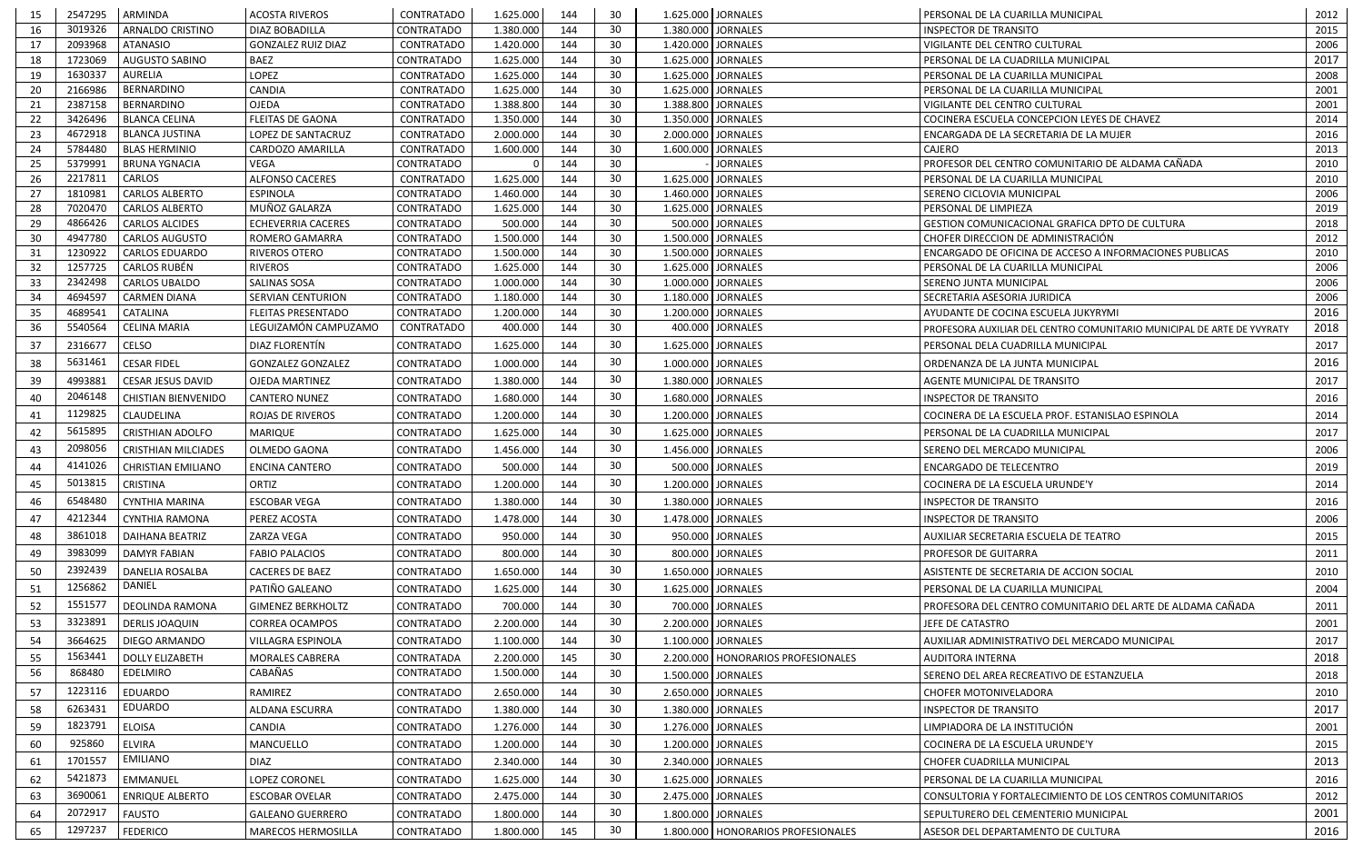| 15              | 2547295            | ARMINDA                               | <b>ACOSTA RIVEROS</b>          | CONTRATADO                             | 1.625.000              | 144        | 30       |                                          | 1.625.000 JORNALES                   | PERSONAL DE LA CUARILLA MUNICIPAL                                      | 2012         |
|-----------------|--------------------|---------------------------------------|--------------------------------|----------------------------------------|------------------------|------------|----------|------------------------------------------|--------------------------------------|------------------------------------------------------------------------|--------------|
| 16              | 3019326            | <b>ARNALDO CRISTINO</b>               | <b>DIAZ BOBADILLA</b>          | <b>CONTRATADO</b>                      | 1.380.000              | 144        | 30       | 1.380.000 JORNALES                       |                                      | <b>INSPECTOR DE TRANSITO</b>                                           | 2015         |
| 17              | 2093968            | <b>ATANASIO</b>                       | <b>GONZALEZ RUIZ DIAZ</b>      | CONTRATADO                             | 1.420.000              | 144        | 30       | 1.420.000 JORNALES                       |                                      | VIGILANTE DEL CENTRO CULTURAL                                          | 2006         |
| 18              | 1723069            | <b>AUGUSTO SABINO</b>                 | BAEZ                           | CONTRATADO                             | 1.625.000              | 144        | 30       | 1.625.000 JORNALES                       |                                      | PERSONAL DE LA CUADRILLA MUNICIPAL                                     | 2017         |
| 19              | 1630337            | AURELIA                               | <b>LOPEZ</b>                   | <b>CONTRATADO</b>                      | 1.625.000              | 144        | 30       | 1.625.000 JORNALES                       |                                      | PERSONAL DE LA CUARILLA MUNICIPAL                                      | 2008         |
| 20              | 2166986            | BERNARDINO                            | CANDIA                         | <b>CONTRATADO</b>                      | 1.625.000              | 144        | 30       | 1.625.000 JORNALES                       |                                      | PERSONAL DE LA CUARILLA MUNICIPAL                                      | 2001         |
| 21              | 2387158            | BERNARDINO                            | <b>OJEDA</b>                   | <b>CONTRATADO</b>                      | 1.388.800              | 144        | 30       |                                          | 1.388.800 JORNALES                   | VIGILANTE DEL CENTRO CULTURAL                                          | 2001         |
| 22              | 3426496            | <b>BLANCA CELINA</b>                  | <b>FLEITAS DE GAONA</b>        | <b>CONTRATADO</b>                      | 1.350.000              | 144        | 30       | 1.350.000 JORNALES                       |                                      | COCINERA ESCUELA CONCEPCION LEYES DE CHAVEZ                            | 2014         |
| 23              | 4672918            | <b>BLANCA JUSTINA</b>                 | LOPEZ DE SANTACRUZ             | CONTRATADO                             | 2.000.000              | 144        | 30       |                                          | 2.000.000 JORNALES                   | ENCARGADA DE LA SECRETARIA DE LA MUJER                                 | 2016         |
| 24              | 5784480            | <b>BLAS HERMINIO</b>                  | CARDOZO AMARILLA               | <b>CONTRATADO</b>                      | 1.600.000              | 144        | 30       | 1.600.000 JORNALES                       |                                      | <b>CAJERO</b>                                                          | 2013         |
| 25              | 5379991<br>2217811 | <b>BRUNA YGNACIA</b><br><b>CARLOS</b> | VEGA<br><b>ALFONSO CACERES</b> | <b>CONTRATADO</b>                      |                        | 144<br>144 | 30<br>30 |                                          | <b>JORNALES</b>                      | PROFESOR DEL CENTRO COMUNITARIO DE ALDAMA CAÑADA                       | 2010         |
| 26<br>27        | 1810981            | <b>CARLOS ALBERTO</b>                 | <b>ESPINOLA</b>                | <b>CONTRATADO</b><br><b>CONTRATADO</b> | 1.625.000<br>1.460.000 | 144        | 30       | 1.625.000 JORNALES<br>1.460.000 JORNALES |                                      | PERSONAL DE LA CUARILLA MUNICIPAL<br>SERENO CICLOVIA MUNICIPAL         | 2010<br>2006 |
| 28              | 7020470            | <b>CARLOS ALBERTO</b>                 | MUÑOZ GALARZA                  | CONTRATADO                             | 1.625.000              | 144        | 30       | 1.625.000 JORNALES                       |                                      | PERSONAL DE LIMPIEZA                                                   | 2019         |
| 29              | 4866426            | <b>CARLOS ALCIDES</b>                 | <b>ECHEVERRIA CACERES</b>      | <b>CONTRATADO</b>                      | 500.000                | 144        | 30       |                                          | 500.000 JORNALES                     | GESTION COMUNICACIONAL GRAFICA DPTO DE CULTURA                         | 2018         |
| 30 <sup>°</sup> | 4947780            | <b>CARLOS AUGUSTO</b>                 | <b>ROMERO GAMARRA</b>          | <b>CONTRATADO</b>                      | 1.500.000              | 144        | 30       | 1.500.000 JORNALES                       |                                      | CHOFER DIRECCION DE ADMINISTRACIÓN                                     | 2012         |
| 31              | 1230922            | <b>CARLOS EDUARDO</b>                 | <b>RIVEROS OTERO</b>           | CONTRATADO                             | 1.500.000              | 144        | 30       | 1.500.000 JORNALES                       |                                      | ENCARGADO DE OFICINA DE ACCESO A INFORMACIONES PUBLICAS                | 2010         |
| 32              | 1257725            | CARLOS RUBÉN                          | <b>RIVEROS</b>                 | CONTRATADO                             | 1.625.000              | 144        | 30       | 1.625.000                                | <b>JORNALES</b>                      | PERSONAL DE LA CUARILLA MUNICIPAL                                      | 2006         |
| 33              | 2342498            | <b>CARLOS UBALDO</b>                  | SALINAS SOSA                   | CONTRATADO                             | 1.000.000              | 144        | 30       |                                          | 1.000.000 JORNALES                   | SERENO JUNTA MUNICIPAL                                                 | 2006         |
| 34              | 4694597            | <b>CARMEN DIANA</b>                   | <b>SERVIAN CENTURION</b>       | <b>CONTRATADO</b>                      | 1.180.000              | 144        | 30       | 1.180.000 JORNALES                       |                                      | SECRETARIA ASESORIA JURIDICA                                           | 2006         |
| 35              | 4689541            | <b>CATALINA</b>                       | FLEITAS PRESENTADO             | <b>CONTRATADO</b>                      | 1.200.000              | 144        | 30       | 1.200.000 JORNALES                       |                                      | AYUDANTE DE COCINA ESCUELA JUKYRYMI                                    | 2016         |
| 36              | 5540564            | CELINA MARIA                          | LEGUIZAMÓN CAMPUZAMO           | <b>CONTRATADO</b>                      | 400.000                | 144        | 30       |                                          | 400.000 JORNALES                     | PROFESORA AUXILIAR DEL CENTRO COMUNITARIO MUNICIPAL DE ARTE DE YVYRATY | 2018         |
| 37              | 2316677            | <b>CELSO</b>                          | DIAZ FLORENTÍN                 | <b>CONTRATADO</b>                      | 1.625.000              | 144        | 30       | 1.625.000                                | <b>JORNALES</b>                      | PERSONAL DELA CUADRILLA MUNICIPAL                                      | 2017         |
| 38              | 5631461            | <b>CESAR FIDEL</b>                    | <b>GONZALEZ GONZALEZ</b>       | CONTRATADO                             | 1.000.000              | 144        | 30       | 1.000.000 JORNALES                       |                                      | ORDENANZA DE LA JUNTA MUNICIPAL                                        | 2016         |
| 39              | 4993881            | <b>CESAR JESUS DAVID</b>              | <b>OJEDA MARTINEZ</b>          | <b>CONTRATADO</b>                      | 1.380.000              | 144        | 30       | 1.380.000 JORNALES                       |                                      | AGENTE MUNICIPAL DE TRANSITO                                           | 2017         |
| 40              | 2046148            | <b>CHISTIAN BIENVENIDO</b>            | CANTERO NUNEZ                  | <b>CONTRATADO</b>                      | 1.680.000              | 144        | 30       |                                          | 1.680.000 JORNALES                   | <b>INSPECTOR DE TRANSITO</b>                                           | 2016         |
|                 | 1129825            | <b>CLAUDELINA</b>                     |                                |                                        |                        | 144        | 30       |                                          | 1.200.000 JORNALES                   |                                                                        |              |
| 41              | 5615895            |                                       | <b>ROJAS DE RIVEROS</b>        | <b>CONTRATADO</b>                      | 1.200.000              |            | 30       |                                          |                                      | COCINERA DE LA ESCUELA PROF. ESTANISLAO ESPINOLA                       | 2014         |
| 42              |                    | <b>CRISTHIAN ADOLFO</b>               | MARIQUE                        | <b>CONTRATADO</b>                      | 1.625.000              | 144        |          | 1.625.000 JORNALES                       |                                      | PERSONAL DE LA CUADRILLA MUNICIPAL                                     | 2017         |
| 43              | 2098056            | <b>CRISTHIAN MILCIADES</b>            | OLMEDO GAONA                   | <b>CONTRATADO</b>                      | 1.456.000              | 144        | 30       |                                          | 1.456.000 JORNALES                   | SERENO DEL MERCADO MUNICIPAL                                           | 2006         |
| 44              | 4141026            | <b>CHRISTIAN EMILIANO</b>             | ENCINA CANTERO                 | <b>CONTRATADO</b>                      | 500.000                | 144        | 30       |                                          | 500.000 JORNALES                     | ENCARGADO DE TELECENTRO                                                | 2019         |
| 45              | 5013815            | <b>CRISTINA</b>                       | ORTIZ                          | <b>CONTRATADO</b>                      | 1.200.000              | 144        | 30       |                                          | 1.200.000 JORNALES                   | COCINERA DE LA ESCUELA URUNDE'Y                                        | 2014         |
| 46              | 6548480            | <b>CYNTHIA MARINA</b>                 | <b>ESCOBAR VEGA</b>            | <b>CONTRATADO</b>                      | 1.380.000              | 144        | 30       | 1.380.000 JORNALES                       |                                      | <b>INSPECTOR DE TRANSITO</b>                                           | 2016         |
| 47              | 4212344            | <b>CYNTHIA RAMONA</b>                 | PEREZ ACOSTA                   | <b>CONTRATADO</b>                      | 1.478.000              | 144        | 30       |                                          | 1.478.000 JORNALES                   | <b>INSPECTOR DE TRANSITO</b>                                           | 2006         |
| 48              | 3861018            | <b>DAIHANA BEATRIZ</b>                | ZARZA VEGA                     | <b>CONTRATADO</b>                      | 950.000                | 144        | 30       |                                          | 950.000 JORNALES                     | AUXILIAR SECRETARIA ESCUELA DE TEATRO                                  | 2015         |
| 49              | 3983099            | <b>DAMYR FABIAN</b>                   | <b>FABIO PALACIOS</b>          | CONTRATADO                             | 800.000                | 144        | 30       | 800.000                                  | <b>JORNALES</b>                      | PROFESOR DE GUITARRA                                                   | 2011         |
| 50              | 2392439            | <b>DANELIA ROSALBA</b>                | <b>CACERES DE BAEZ</b>         | CONTRATADO                             | 1.650.000              | 144        | 30       |                                          | 1.650.000 JORNALES                   | ASISTENTE DE SECRETARIA DE ACCION SOCIAL                               | 2010         |
| 51              | 1256862            | <b>DANIEL</b>                         | PATIÑO GALEANO                 | CONTRATADO                             | 1.625.000              | 144        | 30       | 1.625.000 JORNALES                       |                                      | PERSONAL DE LA CUARILLA MUNICIPAL                                      | 2004         |
|                 | 1551577            | DEOLINDA RAMONA                       | <b>GIMENEZ BERKHOLTZ</b>       | <b>CONTRATADO</b>                      | 700.000                | 144        | 30       |                                          | 700.000 JORNALES                     | PROFESORA DEL CENTRO COMUNITARIO DEL ARTE DE ALDAMA CAÑADA             |              |
| 52              | 3323891            |                                       |                                |                                        |                        |            | 30       |                                          |                                      |                                                                        | 2011         |
| 53              |                    | <b>DERLIS JOAQUIN</b>                 | <b>CORREA OCAMPOS</b>          | CONTRATADO                             | 2.200.000              | 144        |          |                                          | 2.200.000 JORNALES                   | JEFE DE CATASTRO                                                       | 2001         |
| 54              | 3664625            | <b>DIEGO ARMANDO</b>                  | VILLAGRA ESPINOLA              | <b>CONTRATADO</b>                      | 1.100.000              | 144        | 30       |                                          | 1.100.000 JORNALES                   | AUXILIAR ADMINISTRATIVO DEL MERCADO MUNICIPAL                          | 2017         |
| 55              | 1563441            | <b>DOLLY ELIZABETH</b>                | <b>MORALES CABRERA</b>         | CONTRATADA                             | 2.200.000              | 145        | 30       |                                          | 2.200.000   HONORARIOS PROFESIONALES | AUDITORA INTERNA                                                       | 2018         |
| 56              | 868480             | <b>EDELMIRO</b>                       | CABAÑAS                        | CONTRATADO                             | 1.500.000              | 144        | 30       |                                          | 1.500.000 JORNALES                   | SERENO DEL AREA RECREATIVO DE ESTANZUELA                               | 2018         |
| 57              | 1223116            | EDUARDO                               | RAMIREZ                        | CONTRATADO                             | 2.650.000              | 144        | 30       |                                          | 2.650.000 JORNALES                   | <b>CHOFER MOTONIVELADORA</b>                                           | 2010         |
| 58              | 6263431            | <b>EDUARDO</b>                        | ALDANA ESCURRA                 | <b>CONTRATADO</b>                      | 1.380.000              | 144        | 30       |                                          | 1.380.000 JORNALES                   | <b>INSPECTOR DE TRANSITO</b>                                           | 2017         |
| 59              | 1823791            | <b>ELOISA</b>                         | CANDIA                         | CONTRATADO                             | 1.276.000              | 144        | 30       |                                          | 1.276.000 JORNALES                   | LIMPIADORA DE LA INSTITUCIÓN                                           | 2001         |
| 60              | 925860             | <b>ELVIRA</b>                         | MANCUELLO                      | CONTRATADO                             | 1.200.000              | 144        | 30       |                                          | 1.200.000 JORNALES                   | COCINERA DE LA ESCUELA URUNDE'Y                                        | 2015         |
| 61              | 1701557            | <b>EMILIANO</b>                       | <b>DIAZ</b>                    | <b>CONTRATADO</b>                      | 2.340.000              | 144        | 30       |                                          | 2.340.000 JORNALES                   | CHOFER CUADRILLA MUNICIPAL                                             | 2013         |
| 62              | 5421873            | <b>EMMANUEL</b>                       | <b>LOPEZ CORONEL</b>           | CONTRATADO                             | 1.625.000              | 144        | 30       |                                          | 1.625.000 JORNALES                   | PERSONAL DE LA CUARILLA MUNICIPAL                                      | 2016         |
|                 | 3690061            |                                       |                                |                                        |                        | 144        | 30       |                                          |                                      |                                                                        |              |
| 63              |                    | <b>ENRIQUE ALBERTO</b>                | <b>ESCOBAR OVELAR</b>          | CONTRATADO                             | 2.475.000              |            |          |                                          | 2.475.000 JORNALES                   | CONSULTORIA Y FORTALECIMIENTO DE LOS CENTROS COMUNITARIOS              | 2012         |
| 64              | 2072917            | <b>FAUSTO</b>                         | <b>GALEANO GUERRERO</b>        | CONTRATADO                             | 1.800.000              | 144        | 30       |                                          | 1.800.000 JORNALES                   | SEPULTURERO DEL CEMENTERIO MUNICIPAL                                   | 2001         |
| 65              | 1297237            | FEDERICO                              | MARECOS HERMOSILLA             | CONTRATADO                             | 1.800.000              | 145        | 30       |                                          | 1.800.000   HONORARIOS PROFESIONALES | ASESOR DEL DEPARTAMENTO DE CULTURA                                     | 2016         |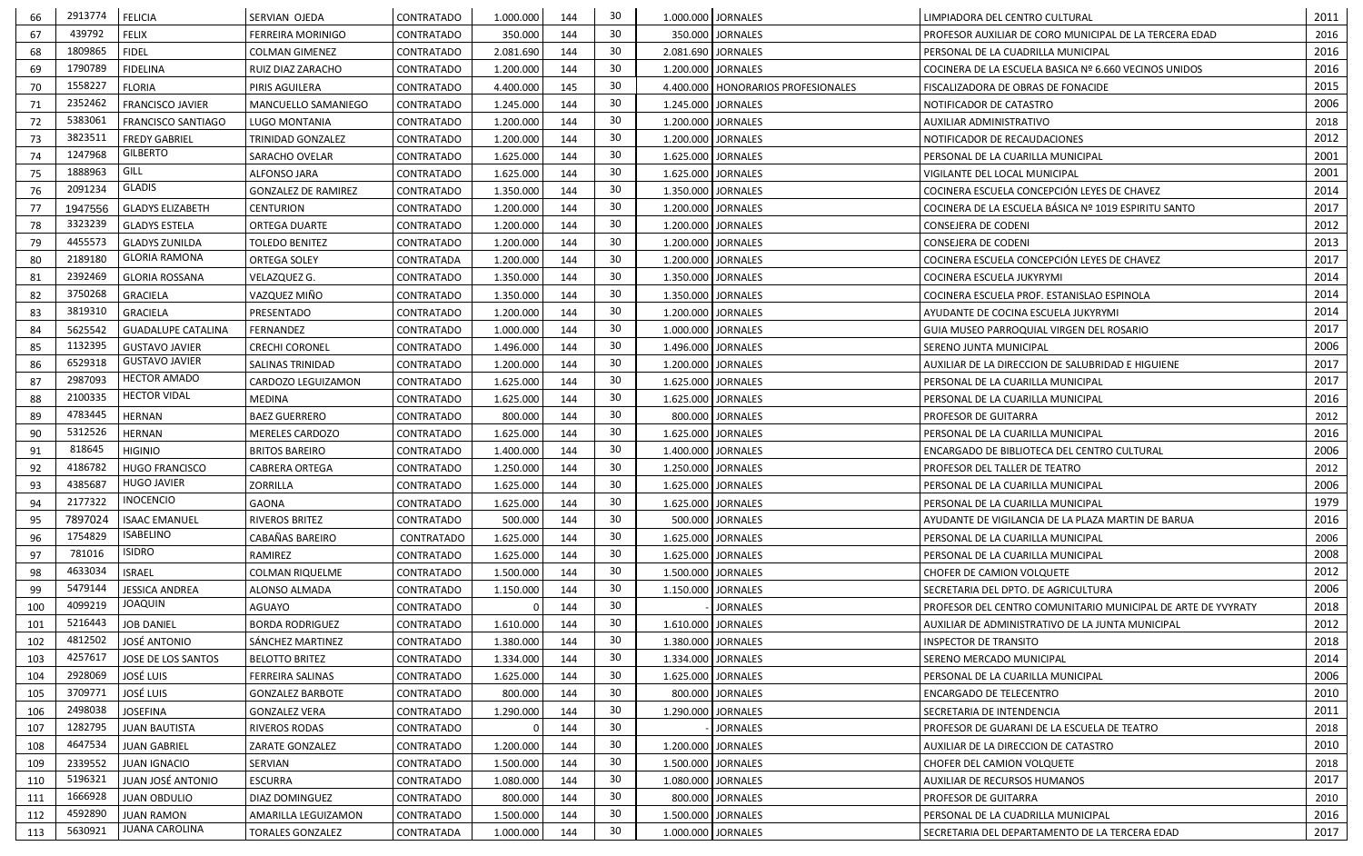| 439792<br>30<br><b>FELIX</b><br>67<br>350.000 JORNALES<br><b>FERREIRA MORINIGO</b><br>CONTRATADO<br>350.000<br>144<br>2016<br>PROFESOR AUXILIAR DE CORO MUNICIPAL DE LA TERCERA EDAD<br>1809865<br>30<br>2016<br><b>FIDEL</b><br>68<br>144<br>2.081.690 JORNALES<br>CONTRATADO<br>2.081.690<br><b>COLMAN GIMENEZ</b><br>PERSONAL DE LA CUADRILLA MUNICIPAL<br>1790789<br>30<br>2016<br>69<br><b>FIDELINA</b><br>144<br>RUIZ DIAZ ZARACHO<br>CONTRATADO<br>1.200.000<br>1.200.000   JORNALES<br>COCINERA DE LA ESCUELA BASICA Nº 6.660 VECINOS UNIDOS<br>1558227<br>30<br>2015<br>70<br><b>FLORIA</b><br>145<br>4.400.000<br>4.400.000   HONORARIOS PROFESIONALES<br>PIRIS AGUILERA<br><b>CONTRATADO</b><br>FISCALIZADORA DE OBRAS DE FONACIDE<br>2352462<br>30<br>2006<br>71<br>144<br><b>FRANCISCO JAVIER</b><br>1.245.000 JORNALES<br>MANCUELLO SAMANIEGO<br>CONTRATADO<br>1.245.000<br>NOTIFICADOR DE CATASTRO<br>5383061<br>30<br>72<br>144<br><b>FRANCISCO SANTIAGO</b><br>1.200.000<br>1.200.000 JORNALES<br>2018<br>LUGO MONTANIA<br>CONTRATADO<br>AUXILIAR ADMINISTRATIVO<br>3823511<br>30<br>2012<br>73<br>144<br><b>FREDY GABRIEL</b><br>1.200.000<br>1.200.000 JORNALES<br><b>TRINIDAD GONZALEZ</b><br>CONTRATADO<br>NOTIFICADOR DE RECAUDACIONES<br><b>GILBERTO</b><br>1247968<br>30<br>2001<br>74<br>144<br>CONTRATADO<br>1.625.000<br>1.625.000 JORNALES<br>SARACHO OVELAR<br>PERSONAL DE LA CUARILLA MUNICIPAL<br>GILL<br>1888963<br>30<br>75<br>2001<br>144<br>1.625.000 JORNALES<br>ALFONSO JARA<br>CONTRATADO<br>1.625.000<br>VIGILANTE DEL LOCAL MUNICIPAL<br><b>GLADIS</b><br>2091234<br>30<br>2014<br>144<br>76<br>1.350.000 JORNALES<br>COCINERA ESCUELA CONCEPCIÓN LEYES DE CHAVEZ<br><b>GONZALEZ DE RAMIREZ</b><br><b>CONTRATADO</b><br>1.350.000<br>30<br>77<br>2017<br><b>GLADYS ELIZABETH</b><br>1.200.000<br>144<br>1.200.000 JORNALES<br>COCINERA DE LA ESCUELA BÁSICA Nº 1019 ESPIRITU SANTO<br>1947556<br><b>CENTURION</b><br>CONTRATADO<br>3323239<br>30<br>2012<br>78<br>144<br>1.200.000 JORNALES<br><b>GLADYS ESTELA</b><br>ORTEGA DUARTE<br>CONTRATADO<br>1.200.000<br>CONSEJERA DE CODENI<br>4455573<br>30<br>2013<br>79<br><b>GLADYS ZUNILDA</b><br>CONTRATADO<br>1.200.000<br>144<br>1.200.000   JORNALES<br><b>TOLEDO BENITEZ</b><br>CONSEJERA DE CODENI<br><b>GLORIA RAMONA</b><br>2017<br>2189180<br>30<br>80<br>144<br>COCINERA ESCUELA CONCEPCIÓN LEYES DE CHAVEZ<br><b>ORTEGA SOLEY</b><br>CONTRATADA<br>1.200.000<br>1.200.000 JORNALES<br>2392469<br>30<br>2014<br>81<br><b>GLORIA ROSSANA</b><br>144<br>1.350.000 JORNALES<br>VELAZQUEZ G.<br>CONTRATADO<br>1.350.000<br>COCINERA ESCUELA JUKYRYMI<br>3750268<br>30<br>2014<br>82<br><b>GRACIELA</b><br>VAZQUEZ MIÑO<br>1.350.000<br>144<br>1.350.000 JORNALES<br>CONTRATADO<br>COCINERA ESCUELA PROF. ESTANISLAO ESPINOLA<br>30<br>3819310<br>2014<br>83<br><b>GRACIELA</b><br>PRESENTADO<br>144<br>1.200.000 JORNALES<br>CONTRATADO<br>1.200.000<br>AYUDANTE DE COCINA ESCUELA JUKYRYMI<br>30<br>2017<br>84<br>5625542<br>1.000.000 JORNALES<br><b>GUADALUPE CATALINA</b><br>CONTRATADO<br>1.000.000<br>144<br>FERNANDEZ<br>GUIA MUSEO PARROQUIAL VIRGEN DEL ROSARIO<br>1132395<br>30<br>2006<br>85<br>144<br><b>GUSTAVO JAVIER</b><br>1.496.000<br>1.496.000 JORNALES<br><b>CRECHI CORONEL</b><br>CONTRATADO<br>SERENO JUNTA MUNICIPAL<br><b>GUSTAVO JAVIER</b><br>6529318<br>30<br>86<br>2017<br>SALINAS TRINIDAD<br>CONTRATADO<br>1.200.000<br>144<br>1.200.000   JORNALES<br>AUXILIAR DE LA DIRECCION DE SALUBRIDAD E HIGUIENE<br><b>HECTOR AMADO</b><br>2987093<br>30<br>2017<br>87<br>144<br>1.625.000 JORNALES<br>CONTRATADO<br>1.625.000<br>CARDOZO LEGUIZAMON<br>PERSONAL DE LA CUARILLA MUNICIPAL<br><b>HECTOR VIDAL</b><br>2100335<br>30<br>2016<br>88<br>144<br><b>MEDINA</b><br>CONTRATADO<br>1.625.000<br>1.625.000 JORNALES<br>PERSONAL DE LA CUARILLA MUNICIPAL<br>4783445<br>30<br>89<br><b>HERNAN</b><br>144<br>800.000 JORNALES<br><b>BAEZ GUERRERO</b><br>800.000<br>2012<br>CONTRATADO<br>PROFESOR DE GUITARRA<br>5312526<br>30<br>2016<br>90<br><b>HERNAN</b><br>144<br>1.625.000 JORNALES<br><b>MERELES CARDOZO</b><br>CONTRATADO<br>1.625.000<br>PERSONAL DE LA CUARILLA MUNICIPAL<br>818645<br>30<br>2006<br>91<br><b>HIGINIO</b><br><b>BRITOS BAREIRO</b><br>CONTRATADO<br>1.400.000<br>144<br>1.400.000   JORNALES<br>ENCARGADO DE BIBLIOTECA DEL CENTRO CULTURAL<br>4186782<br>30<br>92<br><b>HUGO FRANCISCO</b><br>144<br>CONTRATADO<br>1.250.000<br>1.250.000 JORNALES<br>2012<br><b>CABRERA ORTEGA</b><br>PROFESOR DEL TALLER DE TEATRO<br><b>HUGO JAVIER</b><br>4385687<br>30<br>2006<br>93<br>144<br>1.625.000 JORNALES<br>ZORRILLA<br>CONTRATADO<br>1.625.000<br>PERSONAL DE LA CUARILLA MUNICIPAL<br><b>INOCENCIO</b><br>2177322<br>30<br>1979<br>94<br><b>GAONA</b><br>144<br>1.625.000 JORNALES<br>CONTRATADO<br>1.625.000<br>PERSONAL DE LA CUARILLA MUNICIPAL<br>30<br>2016<br>7897024<br>95<br><b>ISAAC EMANUEL</b><br>RIVEROS BRITEZ<br>CONTRATADO<br>144<br>500.000 JORNALES<br>500.000<br>AYUDANTE DE VIGILANCIA DE LA PLAZA MARTIN DE BARUA<br><b>ISABELINO</b><br>1754829<br>30<br>96<br>CABAÑAS BAREIRO<br>1.625.000 JORNALES<br>2006<br>CONTRATADO<br>1.625.000<br>144<br>PERSONAL DE LA CUARILLA MUNICIPAL<br><b>ISIDRO</b><br>781016<br>30<br>2008<br>97<br>RAMIREZ<br>CONTRATADO<br>144<br>1.625.000 JORNALES<br>1.625.000<br>PERSONAL DE LA CUARILLA MUNICIPAL<br>4633034<br>30<br>98<br><b>ISRAEL</b><br>2012<br>144<br>1.500.000 JORNALES<br><b>COLMAN RIQUELME</b><br>CONTRATADO<br>1.500.000<br>CHOFER DE CAMION VOLQUETE<br>5479144<br>30<br>2006<br>99<br>JESSICA ANDREA<br>144<br>1.150.000 JORNALES<br>ALONSO ALMADA<br>CONTRATADO<br>1.150.000<br>SECRETARIA DEL DPTO. DE AGRICULTURA<br><b>JOAQUIN</b><br>4099219<br>30<br>2018<br>100<br>AGUAYO<br>144<br><b>JORNALES</b><br>CONTRATADO<br>PROFESOR DEL CENTRO COMUNITARIO MUNICIPAL DE ARTE DE YVYRATY<br>5216443<br>30<br>2012<br><b>JOB DANIEL</b><br>101<br>144<br>1.610.000 JORNALES<br><b>BORDA RODRIGUEZ</b><br>CONTRATADO<br>1.610.000<br>AUXILIAR DE ADMINISTRATIVO DE LA JUNTA MUNICIPAL<br>4812502<br>30<br>2018<br>102<br><b>JOSÉ ANTONIO</b><br>144<br>1.380.000 JORNALES<br>SÁNCHEZ MARTINEZ<br>CONTRATADO<br>1.380.000<br><b>INSPECTOR DE TRANSITO</b><br>4257617<br>30<br>2014<br>103<br>JOSE DE LOS SANTOS<br>1.334.000<br>1.334.000 JORNALES<br><b>BELOTTO BRITEZ</b><br>CONTRATADO<br>144<br>SERENO MERCADO MUNICIPAL<br>2928069<br>2006<br><b>JOSÉ LUIS</b><br>30<br>104<br>144<br>CONTRATADO<br>1.625.000<br>1.625.000   JORNALES<br><b>FERREIRA SALINAS</b><br>PERSONAL DE LA CUARILLA MUNICIPAL<br>3709771<br>30<br>2010<br><b>JOSÉ LUIS</b><br>105<br>144<br>800.000 JORNALES<br><b>GONZALEZ BARBOTE</b><br>CONTRATADO<br>800.000<br>ENCARGADO DE TELECENTRO<br>2498038<br>30<br>2011<br>106<br><b>JOSEFINA</b><br>1.290.000<br>144<br>1.290.000 JORNALES<br><b>GONZALEZ VERA</b><br>CONTRATADO<br>SECRETARIA DE INTENDENCIA<br>1282795<br>30<br>2018<br>107<br>CONTRATADO<br>144<br><b>JORNALES</b><br><b>JUAN BAUTISTA</b><br>RIVEROS RODAS<br>PROFESOR DE GUARANI DE LA ESCUELA DE TEATRO<br>4647534<br>30<br>2010<br>108<br><b>JUAN GABRIEL</b><br>1.200.000<br>144<br>1.200.000 JORNALES<br>ZARATE GONZALEZ<br>CONTRATADO<br>AUXILIAR DE LA DIRECCION DE CATASTRO<br>30<br>109<br>144<br>2018<br>2339552<br><b>JUAN IGNACIO</b><br>SERVIAN<br>CONTRATADO<br>1.500.000<br>1.500.000 JORNALES<br>CHOFER DEL CAMION VOLQUETE<br>5196321<br>30<br>2017<br>JUAN JOSÉ ANTONIO<br>110<br>144<br>1.080.000 JORNALES<br>ESCURRA<br>CONTRATADO<br>1.080.000<br>AUXILIAR DE RECURSOS HUMANOS<br>1666928<br>30<br>144<br>111<br><b>JUAN OBDULIO</b><br>2010<br>DIAZ DOMINGUEZ<br>CONTRATADO<br>800.000<br>800.000 JORNALES<br>PROFESOR DE GUITARRA<br>4592890<br>30<br>2016<br>112<br><b>JUAN RAMON</b><br>144<br>1.500.000 JORNALES<br>AMARILLA LEGUIZAMON<br>CONTRATADO<br>1.500.000<br>PERSONAL DE LA CUADRILLA MUNICIPAL<br>JUANA CAROLINA<br>5630921<br>30 <sup>°</sup><br>2017<br>1.000.000 JORNALES<br>113<br>144<br><b>TORALES GONZALEZ</b><br>CONTRATADA<br>1.000.000<br>SECRETARIA DEL DEPARTAMENTO DE LA TERCERA EDAD | 66 | 2913774 | FELICIA | SERVIAN OJEDA | CONTRATADO | 1.000.000 | 144 | 30 | 1.000.000 JORNALES | LIMPIADORA DEL CENTRO CULTURAL | 2011 |
|-------------------------------------------------------------------------------------------------------------------------------------------------------------------------------------------------------------------------------------------------------------------------------------------------------------------------------------------------------------------------------------------------------------------------------------------------------------------------------------------------------------------------------------------------------------------------------------------------------------------------------------------------------------------------------------------------------------------------------------------------------------------------------------------------------------------------------------------------------------------------------------------------------------------------------------------------------------------------------------------------------------------------------------------------------------------------------------------------------------------------------------------------------------------------------------------------------------------------------------------------------------------------------------------------------------------------------------------------------------------------------------------------------------------------------------------------------------------------------------------------------------------------------------------------------------------------------------------------------------------------------------------------------------------------------------------------------------------------------------------------------------------------------------------------------------------------------------------------------------------------------------------------------------------------------------------------------------------------------------------------------------------------------------------------------------------------------------------------------------------------------------------------------------------------------------------------------------------------------------------------------------------------------------------------------------------------------------------------------------------------------------------------------------------------------------------------------------------------------------------------------------------------------------------------------------------------------------------------------------------------------------------------------------------------------------------------------------------------------------------------------------------------------------------------------------------------------------------------------------------------------------------------------------------------------------------------------------------------------------------------------------------------------------------------------------------------------------------------------------------------------------------------------------------------------------------------------------------------------------------------------------------------------------------------------------------------------------------------------------------------------------------------------------------------------------------------------------------------------------------------------------------------------------------------------------------------------------------------------------------------------------------------------------------------------------------------------------------------------------------------------------------------------------------------------------------------------------------------------------------------------------------------------------------------------------------------------------------------------------------------------------------------------------------------------------------------------------------------------------------------------------------------------------------------------------------------------------------------------------------------------------------------------------------------------------------------------------------------------------------------------------------------------------------------------------------------------------------------------------------------------------------------------------------------------------------------------------------------------------------------------------------------------------------------------------------------------------------------------------------------------------------------------------------------------------------------------------------------------------------------------------------------------------------------------------------------------------------------------------------------------------------------------------------------------------------------------------------------------------------------------------------------------------------------------------------------------------------------------------------------------------------------------------------------------------------------------------------------------------------------------------------------------------------------------------------------------------------------------------------------------------------------------------------------------------------------------------------------------------------------------------------------------------------------------------------------------------------------------------------------------------------------------------------------------------------------------------------------------------------------------------------------------------------------------------------------------------------------------------------------------------------------------------------------------------------------------------------------------------------------------------------------------------------------------------------------------------------------------------------------------------------------------------------------------------------------------------------------------------------------------------------------------------------------------------------------------------------------------------------------------------------------------------------------------------------------------------------------------------------------------------------------------------------------------------------------------------------------------------------------------------------------------------------------------------------------------------------------------------------------------------------------------------------------------------------------------------------------------------------------------------------------------------------------------------------------------------------------------------------------------------------------------------------------------------------------------------------------------------------------------------------------------------------------------------------------------------------------------------------------------------------------------------------------------------------------------------------------------------------------------------------------------------------------------------------------------------------------------------------------------------------------------------------------------------------------------------------------------------------------------------------------------------------------------------------------------------------------------------------------------------------------------------------------------------------------------------------------------------------------------------------------------------------------------------------------------------------------------------------------------------------------------------------|----|---------|---------|---------------|------------|-----------|-----|----|--------------------|--------------------------------|------|
|                                                                                                                                                                                                                                                                                                                                                                                                                                                                                                                                                                                                                                                                                                                                                                                                                                                                                                                                                                                                                                                                                                                                                                                                                                                                                                                                                                                                                                                                                                                                                                                                                                                                                                                                                                                                                                                                                                                                                                                                                                                                                                                                                                                                                                                                                                                                                                                                                                                                                                                                                                                                                                                                                                                                                                                                                                                                                                                                                                                                                                                                                                                                                                                                                                                                                                                                                                                                                                                                                                                                                                                                                                                                                                                                                                                                                                                                                                                                                                                                                                                                                                                                                                                                                                                                                                                                                                                                                                                                                                                                                                                                                                                                                                                                                                                                                                                                                                                                                                                                                                                                                                                                                                                                                                                                                                                                                                                                                                                                                                                                                                                                                                                                                                                                                                                                                                                                                                                                                                                                                                                                                                                                                                                                                                                                                                                                                                                                                                                                                                                                                                                                                                                                                                                                                                                                                                                                                                                                                                                                                                                                                                                                                                                                                                                                                                                                                                                                                                                                                                                                                                                                                                                                                                                                                                                                                                                                                                                                                                                                                                                                                                                                                                   |    |         |         |               |            |           |     |    |                    |                                |      |
|                                                                                                                                                                                                                                                                                                                                                                                                                                                                                                                                                                                                                                                                                                                                                                                                                                                                                                                                                                                                                                                                                                                                                                                                                                                                                                                                                                                                                                                                                                                                                                                                                                                                                                                                                                                                                                                                                                                                                                                                                                                                                                                                                                                                                                                                                                                                                                                                                                                                                                                                                                                                                                                                                                                                                                                                                                                                                                                                                                                                                                                                                                                                                                                                                                                                                                                                                                                                                                                                                                                                                                                                                                                                                                                                                                                                                                                                                                                                                                                                                                                                                                                                                                                                                                                                                                                                                                                                                                                                                                                                                                                                                                                                                                                                                                                                                                                                                                                                                                                                                                                                                                                                                                                                                                                                                                                                                                                                                                                                                                                                                                                                                                                                                                                                                                                                                                                                                                                                                                                                                                                                                                                                                                                                                                                                                                                                                                                                                                                                                                                                                                                                                                                                                                                                                                                                                                                                                                                                                                                                                                                                                                                                                                                                                                                                                                                                                                                                                                                                                                                                                                                                                                                                                                                                                                                                                                                                                                                                                                                                                                                                                                                                                                   |    |         |         |               |            |           |     |    |                    |                                |      |
|                                                                                                                                                                                                                                                                                                                                                                                                                                                                                                                                                                                                                                                                                                                                                                                                                                                                                                                                                                                                                                                                                                                                                                                                                                                                                                                                                                                                                                                                                                                                                                                                                                                                                                                                                                                                                                                                                                                                                                                                                                                                                                                                                                                                                                                                                                                                                                                                                                                                                                                                                                                                                                                                                                                                                                                                                                                                                                                                                                                                                                                                                                                                                                                                                                                                                                                                                                                                                                                                                                                                                                                                                                                                                                                                                                                                                                                                                                                                                                                                                                                                                                                                                                                                                                                                                                                                                                                                                                                                                                                                                                                                                                                                                                                                                                                                                                                                                                                                                                                                                                                                                                                                                                                                                                                                                                                                                                                                                                                                                                                                                                                                                                                                                                                                                                                                                                                                                                                                                                                                                                                                                                                                                                                                                                                                                                                                                                                                                                                                                                                                                                                                                                                                                                                                                                                                                                                                                                                                                                                                                                                                                                                                                                                                                                                                                                                                                                                                                                                                                                                                                                                                                                                                                                                                                                                                                                                                                                                                                                                                                                                                                                                                                                   |    |         |         |               |            |           |     |    |                    |                                |      |
|                                                                                                                                                                                                                                                                                                                                                                                                                                                                                                                                                                                                                                                                                                                                                                                                                                                                                                                                                                                                                                                                                                                                                                                                                                                                                                                                                                                                                                                                                                                                                                                                                                                                                                                                                                                                                                                                                                                                                                                                                                                                                                                                                                                                                                                                                                                                                                                                                                                                                                                                                                                                                                                                                                                                                                                                                                                                                                                                                                                                                                                                                                                                                                                                                                                                                                                                                                                                                                                                                                                                                                                                                                                                                                                                                                                                                                                                                                                                                                                                                                                                                                                                                                                                                                                                                                                                                                                                                                                                                                                                                                                                                                                                                                                                                                                                                                                                                                                                                                                                                                                                                                                                                                                                                                                                                                                                                                                                                                                                                                                                                                                                                                                                                                                                                                                                                                                                                                                                                                                                                                                                                                                                                                                                                                                                                                                                                                                                                                                                                                                                                                                                                                                                                                                                                                                                                                                                                                                                                                                                                                                                                                                                                                                                                                                                                                                                                                                                                                                                                                                                                                                                                                                                                                                                                                                                                                                                                                                                                                                                                                                                                                                                                                   |    |         |         |               |            |           |     |    |                    |                                |      |
|                                                                                                                                                                                                                                                                                                                                                                                                                                                                                                                                                                                                                                                                                                                                                                                                                                                                                                                                                                                                                                                                                                                                                                                                                                                                                                                                                                                                                                                                                                                                                                                                                                                                                                                                                                                                                                                                                                                                                                                                                                                                                                                                                                                                                                                                                                                                                                                                                                                                                                                                                                                                                                                                                                                                                                                                                                                                                                                                                                                                                                                                                                                                                                                                                                                                                                                                                                                                                                                                                                                                                                                                                                                                                                                                                                                                                                                                                                                                                                                                                                                                                                                                                                                                                                                                                                                                                                                                                                                                                                                                                                                                                                                                                                                                                                                                                                                                                                                                                                                                                                                                                                                                                                                                                                                                                                                                                                                                                                                                                                                                                                                                                                                                                                                                                                                                                                                                                                                                                                                                                                                                                                                                                                                                                                                                                                                                                                                                                                                                                                                                                                                                                                                                                                                                                                                                                                                                                                                                                                                                                                                                                                                                                                                                                                                                                                                                                                                                                                                                                                                                                                                                                                                                                                                                                                                                                                                                                                                                                                                                                                                                                                                                                                   |    |         |         |               |            |           |     |    |                    |                                |      |
|                                                                                                                                                                                                                                                                                                                                                                                                                                                                                                                                                                                                                                                                                                                                                                                                                                                                                                                                                                                                                                                                                                                                                                                                                                                                                                                                                                                                                                                                                                                                                                                                                                                                                                                                                                                                                                                                                                                                                                                                                                                                                                                                                                                                                                                                                                                                                                                                                                                                                                                                                                                                                                                                                                                                                                                                                                                                                                                                                                                                                                                                                                                                                                                                                                                                                                                                                                                                                                                                                                                                                                                                                                                                                                                                                                                                                                                                                                                                                                                                                                                                                                                                                                                                                                                                                                                                                                                                                                                                                                                                                                                                                                                                                                                                                                                                                                                                                                                                                                                                                                                                                                                                                                                                                                                                                                                                                                                                                                                                                                                                                                                                                                                                                                                                                                                                                                                                                                                                                                                                                                                                                                                                                                                                                                                                                                                                                                                                                                                                                                                                                                                                                                                                                                                                                                                                                                                                                                                                                                                                                                                                                                                                                                                                                                                                                                                                                                                                                                                                                                                                                                                                                                                                                                                                                                                                                                                                                                                                                                                                                                                                                                                                                                   |    |         |         |               |            |           |     |    |                    |                                |      |
|                                                                                                                                                                                                                                                                                                                                                                                                                                                                                                                                                                                                                                                                                                                                                                                                                                                                                                                                                                                                                                                                                                                                                                                                                                                                                                                                                                                                                                                                                                                                                                                                                                                                                                                                                                                                                                                                                                                                                                                                                                                                                                                                                                                                                                                                                                                                                                                                                                                                                                                                                                                                                                                                                                                                                                                                                                                                                                                                                                                                                                                                                                                                                                                                                                                                                                                                                                                                                                                                                                                                                                                                                                                                                                                                                                                                                                                                                                                                                                                                                                                                                                                                                                                                                                                                                                                                                                                                                                                                                                                                                                                                                                                                                                                                                                                                                                                                                                                                                                                                                                                                                                                                                                                                                                                                                                                                                                                                                                                                                                                                                                                                                                                                                                                                                                                                                                                                                                                                                                                                                                                                                                                                                                                                                                                                                                                                                                                                                                                                                                                                                                                                                                                                                                                                                                                                                                                                                                                                                                                                                                                                                                                                                                                                                                                                                                                                                                                                                                                                                                                                                                                                                                                                                                                                                                                                                                                                                                                                                                                                                                                                                                                                                                   |    |         |         |               |            |           |     |    |                    |                                |      |
|                                                                                                                                                                                                                                                                                                                                                                                                                                                                                                                                                                                                                                                                                                                                                                                                                                                                                                                                                                                                                                                                                                                                                                                                                                                                                                                                                                                                                                                                                                                                                                                                                                                                                                                                                                                                                                                                                                                                                                                                                                                                                                                                                                                                                                                                                                                                                                                                                                                                                                                                                                                                                                                                                                                                                                                                                                                                                                                                                                                                                                                                                                                                                                                                                                                                                                                                                                                                                                                                                                                                                                                                                                                                                                                                                                                                                                                                                                                                                                                                                                                                                                                                                                                                                                                                                                                                                                                                                                                                                                                                                                                                                                                                                                                                                                                                                                                                                                                                                                                                                                                                                                                                                                                                                                                                                                                                                                                                                                                                                                                                                                                                                                                                                                                                                                                                                                                                                                                                                                                                                                                                                                                                                                                                                                                                                                                                                                                                                                                                                                                                                                                                                                                                                                                                                                                                                                                                                                                                                                                                                                                                                                                                                                                                                                                                                                                                                                                                                                                                                                                                                                                                                                                                                                                                                                                                                                                                                                                                                                                                                                                                                                                                                                   |    |         |         |               |            |           |     |    |                    |                                |      |
|                                                                                                                                                                                                                                                                                                                                                                                                                                                                                                                                                                                                                                                                                                                                                                                                                                                                                                                                                                                                                                                                                                                                                                                                                                                                                                                                                                                                                                                                                                                                                                                                                                                                                                                                                                                                                                                                                                                                                                                                                                                                                                                                                                                                                                                                                                                                                                                                                                                                                                                                                                                                                                                                                                                                                                                                                                                                                                                                                                                                                                                                                                                                                                                                                                                                                                                                                                                                                                                                                                                                                                                                                                                                                                                                                                                                                                                                                                                                                                                                                                                                                                                                                                                                                                                                                                                                                                                                                                                                                                                                                                                                                                                                                                                                                                                                                                                                                                                                                                                                                                                                                                                                                                                                                                                                                                                                                                                                                                                                                                                                                                                                                                                                                                                                                                                                                                                                                                                                                                                                                                                                                                                                                                                                                                                                                                                                                                                                                                                                                                                                                                                                                                                                                                                                                                                                                                                                                                                                                                                                                                                                                                                                                                                                                                                                                                                                                                                                                                                                                                                                                                                                                                                                                                                                                                                                                                                                                                                                                                                                                                                                                                                                                                   |    |         |         |               |            |           |     |    |                    |                                |      |
|                                                                                                                                                                                                                                                                                                                                                                                                                                                                                                                                                                                                                                                                                                                                                                                                                                                                                                                                                                                                                                                                                                                                                                                                                                                                                                                                                                                                                                                                                                                                                                                                                                                                                                                                                                                                                                                                                                                                                                                                                                                                                                                                                                                                                                                                                                                                                                                                                                                                                                                                                                                                                                                                                                                                                                                                                                                                                                                                                                                                                                                                                                                                                                                                                                                                                                                                                                                                                                                                                                                                                                                                                                                                                                                                                                                                                                                                                                                                                                                                                                                                                                                                                                                                                                                                                                                                                                                                                                                                                                                                                                                                                                                                                                                                                                                                                                                                                                                                                                                                                                                                                                                                                                                                                                                                                                                                                                                                                                                                                                                                                                                                                                                                                                                                                                                                                                                                                                                                                                                                                                                                                                                                                                                                                                                                                                                                                                                                                                                                                                                                                                                                                                                                                                                                                                                                                                                                                                                                                                                                                                                                                                                                                                                                                                                                                                                                                                                                                                                                                                                                                                                                                                                                                                                                                                                                                                                                                                                                                                                                                                                                                                                                                                   |    |         |         |               |            |           |     |    |                    |                                |      |
|                                                                                                                                                                                                                                                                                                                                                                                                                                                                                                                                                                                                                                                                                                                                                                                                                                                                                                                                                                                                                                                                                                                                                                                                                                                                                                                                                                                                                                                                                                                                                                                                                                                                                                                                                                                                                                                                                                                                                                                                                                                                                                                                                                                                                                                                                                                                                                                                                                                                                                                                                                                                                                                                                                                                                                                                                                                                                                                                                                                                                                                                                                                                                                                                                                                                                                                                                                                                                                                                                                                                                                                                                                                                                                                                                                                                                                                                                                                                                                                                                                                                                                                                                                                                                                                                                                                                                                                                                                                                                                                                                                                                                                                                                                                                                                                                                                                                                                                                                                                                                                                                                                                                                                                                                                                                                                                                                                                                                                                                                                                                                                                                                                                                                                                                                                                                                                                                                                                                                                                                                                                                                                                                                                                                                                                                                                                                                                                                                                                                                                                                                                                                                                                                                                                                                                                                                                                                                                                                                                                                                                                                                                                                                                                                                                                                                                                                                                                                                                                                                                                                                                                                                                                                                                                                                                                                                                                                                                                                                                                                                                                                                                                                                                   |    |         |         |               |            |           |     |    |                    |                                |      |
|                                                                                                                                                                                                                                                                                                                                                                                                                                                                                                                                                                                                                                                                                                                                                                                                                                                                                                                                                                                                                                                                                                                                                                                                                                                                                                                                                                                                                                                                                                                                                                                                                                                                                                                                                                                                                                                                                                                                                                                                                                                                                                                                                                                                                                                                                                                                                                                                                                                                                                                                                                                                                                                                                                                                                                                                                                                                                                                                                                                                                                                                                                                                                                                                                                                                                                                                                                                                                                                                                                                                                                                                                                                                                                                                                                                                                                                                                                                                                                                                                                                                                                                                                                                                                                                                                                                                                                                                                                                                                                                                                                                                                                                                                                                                                                                                                                                                                                                                                                                                                                                                                                                                                                                                                                                                                                                                                                                                                                                                                                                                                                                                                                                                                                                                                                                                                                                                                                                                                                                                                                                                                                                                                                                                                                                                                                                                                                                                                                                                                                                                                                                                                                                                                                                                                                                                                                                                                                                                                                                                                                                                                                                                                                                                                                                                                                                                                                                                                                                                                                                                                                                                                                                                                                                                                                                                                                                                                                                                                                                                                                                                                                                                                                   |    |         |         |               |            |           |     |    |                    |                                |      |
|                                                                                                                                                                                                                                                                                                                                                                                                                                                                                                                                                                                                                                                                                                                                                                                                                                                                                                                                                                                                                                                                                                                                                                                                                                                                                                                                                                                                                                                                                                                                                                                                                                                                                                                                                                                                                                                                                                                                                                                                                                                                                                                                                                                                                                                                                                                                                                                                                                                                                                                                                                                                                                                                                                                                                                                                                                                                                                                                                                                                                                                                                                                                                                                                                                                                                                                                                                                                                                                                                                                                                                                                                                                                                                                                                                                                                                                                                                                                                                                                                                                                                                                                                                                                                                                                                                                                                                                                                                                                                                                                                                                                                                                                                                                                                                                                                                                                                                                                                                                                                                                                                                                                                                                                                                                                                                                                                                                                                                                                                                                                                                                                                                                                                                                                                                                                                                                                                                                                                                                                                                                                                                                                                                                                                                                                                                                                                                                                                                                                                                                                                                                                                                                                                                                                                                                                                                                                                                                                                                                                                                                                                                                                                                                                                                                                                                                                                                                                                                                                                                                                                                                                                                                                                                                                                                                                                                                                                                                                                                                                                                                                                                                                                                   |    |         |         |               |            |           |     |    |                    |                                |      |
|                                                                                                                                                                                                                                                                                                                                                                                                                                                                                                                                                                                                                                                                                                                                                                                                                                                                                                                                                                                                                                                                                                                                                                                                                                                                                                                                                                                                                                                                                                                                                                                                                                                                                                                                                                                                                                                                                                                                                                                                                                                                                                                                                                                                                                                                                                                                                                                                                                                                                                                                                                                                                                                                                                                                                                                                                                                                                                                                                                                                                                                                                                                                                                                                                                                                                                                                                                                                                                                                                                                                                                                                                                                                                                                                                                                                                                                                                                                                                                                                                                                                                                                                                                                                                                                                                                                                                                                                                                                                                                                                                                                                                                                                                                                                                                                                                                                                                                                                                                                                                                                                                                                                                                                                                                                                                                                                                                                                                                                                                                                                                                                                                                                                                                                                                                                                                                                                                                                                                                                                                                                                                                                                                                                                                                                                                                                                                                                                                                                                                                                                                                                                                                                                                                                                                                                                                                                                                                                                                                                                                                                                                                                                                                                                                                                                                                                                                                                                                                                                                                                                                                                                                                                                                                                                                                                                                                                                                                                                                                                                                                                                                                                                                                   |    |         |         |               |            |           |     |    |                    |                                |      |
|                                                                                                                                                                                                                                                                                                                                                                                                                                                                                                                                                                                                                                                                                                                                                                                                                                                                                                                                                                                                                                                                                                                                                                                                                                                                                                                                                                                                                                                                                                                                                                                                                                                                                                                                                                                                                                                                                                                                                                                                                                                                                                                                                                                                                                                                                                                                                                                                                                                                                                                                                                                                                                                                                                                                                                                                                                                                                                                                                                                                                                                                                                                                                                                                                                                                                                                                                                                                                                                                                                                                                                                                                                                                                                                                                                                                                                                                                                                                                                                                                                                                                                                                                                                                                                                                                                                                                                                                                                                                                                                                                                                                                                                                                                                                                                                                                                                                                                                                                                                                                                                                                                                                                                                                                                                                                                                                                                                                                                                                                                                                                                                                                                                                                                                                                                                                                                                                                                                                                                                                                                                                                                                                                                                                                                                                                                                                                                                                                                                                                                                                                                                                                                                                                                                                                                                                                                                                                                                                                                                                                                                                                                                                                                                                                                                                                                                                                                                                                                                                                                                                                                                                                                                                                                                                                                                                                                                                                                                                                                                                                                                                                                                                                                   |    |         |         |               |            |           |     |    |                    |                                |      |
|                                                                                                                                                                                                                                                                                                                                                                                                                                                                                                                                                                                                                                                                                                                                                                                                                                                                                                                                                                                                                                                                                                                                                                                                                                                                                                                                                                                                                                                                                                                                                                                                                                                                                                                                                                                                                                                                                                                                                                                                                                                                                                                                                                                                                                                                                                                                                                                                                                                                                                                                                                                                                                                                                                                                                                                                                                                                                                                                                                                                                                                                                                                                                                                                                                                                                                                                                                                                                                                                                                                                                                                                                                                                                                                                                                                                                                                                                                                                                                                                                                                                                                                                                                                                                                                                                                                                                                                                                                                                                                                                                                                                                                                                                                                                                                                                                                                                                                                                                                                                                                                                                                                                                                                                                                                                                                                                                                                                                                                                                                                                                                                                                                                                                                                                                                                                                                                                                                                                                                                                                                                                                                                                                                                                                                                                                                                                                                                                                                                                                                                                                                                                                                                                                                                                                                                                                                                                                                                                                                                                                                                                                                                                                                                                                                                                                                                                                                                                                                                                                                                                                                                                                                                                                                                                                                                                                                                                                                                                                                                                                                                                                                                                                                   |    |         |         |               |            |           |     |    |                    |                                |      |
|                                                                                                                                                                                                                                                                                                                                                                                                                                                                                                                                                                                                                                                                                                                                                                                                                                                                                                                                                                                                                                                                                                                                                                                                                                                                                                                                                                                                                                                                                                                                                                                                                                                                                                                                                                                                                                                                                                                                                                                                                                                                                                                                                                                                                                                                                                                                                                                                                                                                                                                                                                                                                                                                                                                                                                                                                                                                                                                                                                                                                                                                                                                                                                                                                                                                                                                                                                                                                                                                                                                                                                                                                                                                                                                                                                                                                                                                                                                                                                                                                                                                                                                                                                                                                                                                                                                                                                                                                                                                                                                                                                                                                                                                                                                                                                                                                                                                                                                                                                                                                                                                                                                                                                                                                                                                                                                                                                                                                                                                                                                                                                                                                                                                                                                                                                                                                                                                                                                                                                                                                                                                                                                                                                                                                                                                                                                                                                                                                                                                                                                                                                                                                                                                                                                                                                                                                                                                                                                                                                                                                                                                                                                                                                                                                                                                                                                                                                                                                                                                                                                                                                                                                                                                                                                                                                                                                                                                                                                                                                                                                                                                                                                                                                   |    |         |         |               |            |           |     |    |                    |                                |      |
|                                                                                                                                                                                                                                                                                                                                                                                                                                                                                                                                                                                                                                                                                                                                                                                                                                                                                                                                                                                                                                                                                                                                                                                                                                                                                                                                                                                                                                                                                                                                                                                                                                                                                                                                                                                                                                                                                                                                                                                                                                                                                                                                                                                                                                                                                                                                                                                                                                                                                                                                                                                                                                                                                                                                                                                                                                                                                                                                                                                                                                                                                                                                                                                                                                                                                                                                                                                                                                                                                                                                                                                                                                                                                                                                                                                                                                                                                                                                                                                                                                                                                                                                                                                                                                                                                                                                                                                                                                                                                                                                                                                                                                                                                                                                                                                                                                                                                                                                                                                                                                                                                                                                                                                                                                                                                                                                                                                                                                                                                                                                                                                                                                                                                                                                                                                                                                                                                                                                                                                                                                                                                                                                                                                                                                                                                                                                                                                                                                                                                                                                                                                                                                                                                                                                                                                                                                                                                                                                                                                                                                                                                                                                                                                                                                                                                                                                                                                                                                                                                                                                                                                                                                                                                                                                                                                                                                                                                                                                                                                                                                                                                                                                                                   |    |         |         |               |            |           |     |    |                    |                                |      |
|                                                                                                                                                                                                                                                                                                                                                                                                                                                                                                                                                                                                                                                                                                                                                                                                                                                                                                                                                                                                                                                                                                                                                                                                                                                                                                                                                                                                                                                                                                                                                                                                                                                                                                                                                                                                                                                                                                                                                                                                                                                                                                                                                                                                                                                                                                                                                                                                                                                                                                                                                                                                                                                                                                                                                                                                                                                                                                                                                                                                                                                                                                                                                                                                                                                                                                                                                                                                                                                                                                                                                                                                                                                                                                                                                                                                                                                                                                                                                                                                                                                                                                                                                                                                                                                                                                                                                                                                                                                                                                                                                                                                                                                                                                                                                                                                                                                                                                                                                                                                                                                                                                                                                                                                                                                                                                                                                                                                                                                                                                                                                                                                                                                                                                                                                                                                                                                                                                                                                                                                                                                                                                                                                                                                                                                                                                                                                                                                                                                                                                                                                                                                                                                                                                                                                                                                                                                                                                                                                                                                                                                                                                                                                                                                                                                                                                                                                                                                                                                                                                                                                                                                                                                                                                                                                                                                                                                                                                                                                                                                                                                                                                                                                                   |    |         |         |               |            |           |     |    |                    |                                |      |
|                                                                                                                                                                                                                                                                                                                                                                                                                                                                                                                                                                                                                                                                                                                                                                                                                                                                                                                                                                                                                                                                                                                                                                                                                                                                                                                                                                                                                                                                                                                                                                                                                                                                                                                                                                                                                                                                                                                                                                                                                                                                                                                                                                                                                                                                                                                                                                                                                                                                                                                                                                                                                                                                                                                                                                                                                                                                                                                                                                                                                                                                                                                                                                                                                                                                                                                                                                                                                                                                                                                                                                                                                                                                                                                                                                                                                                                                                                                                                                                                                                                                                                                                                                                                                                                                                                                                                                                                                                                                                                                                                                                                                                                                                                                                                                                                                                                                                                                                                                                                                                                                                                                                                                                                                                                                                                                                                                                                                                                                                                                                                                                                                                                                                                                                                                                                                                                                                                                                                                                                                                                                                                                                                                                                                                                                                                                                                                                                                                                                                                                                                                                                                                                                                                                                                                                                                                                                                                                                                                                                                                                                                                                                                                                                                                                                                                                                                                                                                                                                                                                                                                                                                                                                                                                                                                                                                                                                                                                                                                                                                                                                                                                                                                   |    |         |         |               |            |           |     |    |                    |                                |      |
|                                                                                                                                                                                                                                                                                                                                                                                                                                                                                                                                                                                                                                                                                                                                                                                                                                                                                                                                                                                                                                                                                                                                                                                                                                                                                                                                                                                                                                                                                                                                                                                                                                                                                                                                                                                                                                                                                                                                                                                                                                                                                                                                                                                                                                                                                                                                                                                                                                                                                                                                                                                                                                                                                                                                                                                                                                                                                                                                                                                                                                                                                                                                                                                                                                                                                                                                                                                                                                                                                                                                                                                                                                                                                                                                                                                                                                                                                                                                                                                                                                                                                                                                                                                                                                                                                                                                                                                                                                                                                                                                                                                                                                                                                                                                                                                                                                                                                                                                                                                                                                                                                                                                                                                                                                                                                                                                                                                                                                                                                                                                                                                                                                                                                                                                                                                                                                                                                                                                                                                                                                                                                                                                                                                                                                                                                                                                                                                                                                                                                                                                                                                                                                                                                                                                                                                                                                                                                                                                                                                                                                                                                                                                                                                                                                                                                                                                                                                                                                                                                                                                                                                                                                                                                                                                                                                                                                                                                                                                                                                                                                                                                                                                                                   |    |         |         |               |            |           |     |    |                    |                                |      |
|                                                                                                                                                                                                                                                                                                                                                                                                                                                                                                                                                                                                                                                                                                                                                                                                                                                                                                                                                                                                                                                                                                                                                                                                                                                                                                                                                                                                                                                                                                                                                                                                                                                                                                                                                                                                                                                                                                                                                                                                                                                                                                                                                                                                                                                                                                                                                                                                                                                                                                                                                                                                                                                                                                                                                                                                                                                                                                                                                                                                                                                                                                                                                                                                                                                                                                                                                                                                                                                                                                                                                                                                                                                                                                                                                                                                                                                                                                                                                                                                                                                                                                                                                                                                                                                                                                                                                                                                                                                                                                                                                                                                                                                                                                                                                                                                                                                                                                                                                                                                                                                                                                                                                                                                                                                                                                                                                                                                                                                                                                                                                                                                                                                                                                                                                                                                                                                                                                                                                                                                                                                                                                                                                                                                                                                                                                                                                                                                                                                                                                                                                                                                                                                                                                                                                                                                                                                                                                                                                                                                                                                                                                                                                                                                                                                                                                                                                                                                                                                                                                                                                                                                                                                                                                                                                                                                                                                                                                                                                                                                                                                                                                                                                                   |    |         |         |               |            |           |     |    |                    |                                |      |
|                                                                                                                                                                                                                                                                                                                                                                                                                                                                                                                                                                                                                                                                                                                                                                                                                                                                                                                                                                                                                                                                                                                                                                                                                                                                                                                                                                                                                                                                                                                                                                                                                                                                                                                                                                                                                                                                                                                                                                                                                                                                                                                                                                                                                                                                                                                                                                                                                                                                                                                                                                                                                                                                                                                                                                                                                                                                                                                                                                                                                                                                                                                                                                                                                                                                                                                                                                                                                                                                                                                                                                                                                                                                                                                                                                                                                                                                                                                                                                                                                                                                                                                                                                                                                                                                                                                                                                                                                                                                                                                                                                                                                                                                                                                                                                                                                                                                                                                                                                                                                                                                                                                                                                                                                                                                                                                                                                                                                                                                                                                                                                                                                                                                                                                                                                                                                                                                                                                                                                                                                                                                                                                                                                                                                                                                                                                                                                                                                                                                                                                                                                                                                                                                                                                                                                                                                                                                                                                                                                                                                                                                                                                                                                                                                                                                                                                                                                                                                                                                                                                                                                                                                                                                                                                                                                                                                                                                                                                                                                                                                                                                                                                                                                   |    |         |         |               |            |           |     |    |                    |                                |      |
|                                                                                                                                                                                                                                                                                                                                                                                                                                                                                                                                                                                                                                                                                                                                                                                                                                                                                                                                                                                                                                                                                                                                                                                                                                                                                                                                                                                                                                                                                                                                                                                                                                                                                                                                                                                                                                                                                                                                                                                                                                                                                                                                                                                                                                                                                                                                                                                                                                                                                                                                                                                                                                                                                                                                                                                                                                                                                                                                                                                                                                                                                                                                                                                                                                                                                                                                                                                                                                                                                                                                                                                                                                                                                                                                                                                                                                                                                                                                                                                                                                                                                                                                                                                                                                                                                                                                                                                                                                                                                                                                                                                                                                                                                                                                                                                                                                                                                                                                                                                                                                                                                                                                                                                                                                                                                                                                                                                                                                                                                                                                                                                                                                                                                                                                                                                                                                                                                                                                                                                                                                                                                                                                                                                                                                                                                                                                                                                                                                                                                                                                                                                                                                                                                                                                                                                                                                                                                                                                                                                                                                                                                                                                                                                                                                                                                                                                                                                                                                                                                                                                                                                                                                                                                                                                                                                                                                                                                                                                                                                                                                                                                                                                                                   |    |         |         |               |            |           |     |    |                    |                                |      |
|                                                                                                                                                                                                                                                                                                                                                                                                                                                                                                                                                                                                                                                                                                                                                                                                                                                                                                                                                                                                                                                                                                                                                                                                                                                                                                                                                                                                                                                                                                                                                                                                                                                                                                                                                                                                                                                                                                                                                                                                                                                                                                                                                                                                                                                                                                                                                                                                                                                                                                                                                                                                                                                                                                                                                                                                                                                                                                                                                                                                                                                                                                                                                                                                                                                                                                                                                                                                                                                                                                                                                                                                                                                                                                                                                                                                                                                                                                                                                                                                                                                                                                                                                                                                                                                                                                                                                                                                                                                                                                                                                                                                                                                                                                                                                                                                                                                                                                                                                                                                                                                                                                                                                                                                                                                                                                                                                                                                                                                                                                                                                                                                                                                                                                                                                                                                                                                                                                                                                                                                                                                                                                                                                                                                                                                                                                                                                                                                                                                                                                                                                                                                                                                                                                                                                                                                                                                                                                                                                                                                                                                                                                                                                                                                                                                                                                                                                                                                                                                                                                                                                                                                                                                                                                                                                                                                                                                                                                                                                                                                                                                                                                                                                                   |    |         |         |               |            |           |     |    |                    |                                |      |
|                                                                                                                                                                                                                                                                                                                                                                                                                                                                                                                                                                                                                                                                                                                                                                                                                                                                                                                                                                                                                                                                                                                                                                                                                                                                                                                                                                                                                                                                                                                                                                                                                                                                                                                                                                                                                                                                                                                                                                                                                                                                                                                                                                                                                                                                                                                                                                                                                                                                                                                                                                                                                                                                                                                                                                                                                                                                                                                                                                                                                                                                                                                                                                                                                                                                                                                                                                                                                                                                                                                                                                                                                                                                                                                                                                                                                                                                                                                                                                                                                                                                                                                                                                                                                                                                                                                                                                                                                                                                                                                                                                                                                                                                                                                                                                                                                                                                                                                                                                                                                                                                                                                                                                                                                                                                                                                                                                                                                                                                                                                                                                                                                                                                                                                                                                                                                                                                                                                                                                                                                                                                                                                                                                                                                                                                                                                                                                                                                                                                                                                                                                                                                                                                                                                                                                                                                                                                                                                                                                                                                                                                                                                                                                                                                                                                                                                                                                                                                                                                                                                                                                                                                                                                                                                                                                                                                                                                                                                                                                                                                                                                                                                                                                   |    |         |         |               |            |           |     |    |                    |                                |      |
|                                                                                                                                                                                                                                                                                                                                                                                                                                                                                                                                                                                                                                                                                                                                                                                                                                                                                                                                                                                                                                                                                                                                                                                                                                                                                                                                                                                                                                                                                                                                                                                                                                                                                                                                                                                                                                                                                                                                                                                                                                                                                                                                                                                                                                                                                                                                                                                                                                                                                                                                                                                                                                                                                                                                                                                                                                                                                                                                                                                                                                                                                                                                                                                                                                                                                                                                                                                                                                                                                                                                                                                                                                                                                                                                                                                                                                                                                                                                                                                                                                                                                                                                                                                                                                                                                                                                                                                                                                                                                                                                                                                                                                                                                                                                                                                                                                                                                                                                                                                                                                                                                                                                                                                                                                                                                                                                                                                                                                                                                                                                                                                                                                                                                                                                                                                                                                                                                                                                                                                                                                                                                                                                                                                                                                                                                                                                                                                                                                                                                                                                                                                                                                                                                                                                                                                                                                                                                                                                                                                                                                                                                                                                                                                                                                                                                                                                                                                                                                                                                                                                                                                                                                                                                                                                                                                                                                                                                                                                                                                                                                                                                                                                                                   |    |         |         |               |            |           |     |    |                    |                                |      |
|                                                                                                                                                                                                                                                                                                                                                                                                                                                                                                                                                                                                                                                                                                                                                                                                                                                                                                                                                                                                                                                                                                                                                                                                                                                                                                                                                                                                                                                                                                                                                                                                                                                                                                                                                                                                                                                                                                                                                                                                                                                                                                                                                                                                                                                                                                                                                                                                                                                                                                                                                                                                                                                                                                                                                                                                                                                                                                                                                                                                                                                                                                                                                                                                                                                                                                                                                                                                                                                                                                                                                                                                                                                                                                                                                                                                                                                                                                                                                                                                                                                                                                                                                                                                                                                                                                                                                                                                                                                                                                                                                                                                                                                                                                                                                                                                                                                                                                                                                                                                                                                                                                                                                                                                                                                                                                                                                                                                                                                                                                                                                                                                                                                                                                                                                                                                                                                                                                                                                                                                                                                                                                                                                                                                                                                                                                                                                                                                                                                                                                                                                                                                                                                                                                                                                                                                                                                                                                                                                                                                                                                                                                                                                                                                                                                                                                                                                                                                                                                                                                                                                                                                                                                                                                                                                                                                                                                                                                                                                                                                                                                                                                                                                                   |    |         |         |               |            |           |     |    |                    |                                |      |
|                                                                                                                                                                                                                                                                                                                                                                                                                                                                                                                                                                                                                                                                                                                                                                                                                                                                                                                                                                                                                                                                                                                                                                                                                                                                                                                                                                                                                                                                                                                                                                                                                                                                                                                                                                                                                                                                                                                                                                                                                                                                                                                                                                                                                                                                                                                                                                                                                                                                                                                                                                                                                                                                                                                                                                                                                                                                                                                                                                                                                                                                                                                                                                                                                                                                                                                                                                                                                                                                                                                                                                                                                                                                                                                                                                                                                                                                                                                                                                                                                                                                                                                                                                                                                                                                                                                                                                                                                                                                                                                                                                                                                                                                                                                                                                                                                                                                                                                                                                                                                                                                                                                                                                                                                                                                                                                                                                                                                                                                                                                                                                                                                                                                                                                                                                                                                                                                                                                                                                                                                                                                                                                                                                                                                                                                                                                                                                                                                                                                                                                                                                                                                                                                                                                                                                                                                                                                                                                                                                                                                                                                                                                                                                                                                                                                                                                                                                                                                                                                                                                                                                                                                                                                                                                                                                                                                                                                                                                                                                                                                                                                                                                                                                   |    |         |         |               |            |           |     |    |                    |                                |      |
|                                                                                                                                                                                                                                                                                                                                                                                                                                                                                                                                                                                                                                                                                                                                                                                                                                                                                                                                                                                                                                                                                                                                                                                                                                                                                                                                                                                                                                                                                                                                                                                                                                                                                                                                                                                                                                                                                                                                                                                                                                                                                                                                                                                                                                                                                                                                                                                                                                                                                                                                                                                                                                                                                                                                                                                                                                                                                                                                                                                                                                                                                                                                                                                                                                                                                                                                                                                                                                                                                                                                                                                                                                                                                                                                                                                                                                                                                                                                                                                                                                                                                                                                                                                                                                                                                                                                                                                                                                                                                                                                                                                                                                                                                                                                                                                                                                                                                                                                                                                                                                                                                                                                                                                                                                                                                                                                                                                                                                                                                                                                                                                                                                                                                                                                                                                                                                                                                                                                                                                                                                                                                                                                                                                                                                                                                                                                                                                                                                                                                                                                                                                                                                                                                                                                                                                                                                                                                                                                                                                                                                                                                                                                                                                                                                                                                                                                                                                                                                                                                                                                                                                                                                                                                                                                                                                                                                                                                                                                                                                                                                                                                                                                                                   |    |         |         |               |            |           |     |    |                    |                                |      |
|                                                                                                                                                                                                                                                                                                                                                                                                                                                                                                                                                                                                                                                                                                                                                                                                                                                                                                                                                                                                                                                                                                                                                                                                                                                                                                                                                                                                                                                                                                                                                                                                                                                                                                                                                                                                                                                                                                                                                                                                                                                                                                                                                                                                                                                                                                                                                                                                                                                                                                                                                                                                                                                                                                                                                                                                                                                                                                                                                                                                                                                                                                                                                                                                                                                                                                                                                                                                                                                                                                                                                                                                                                                                                                                                                                                                                                                                                                                                                                                                                                                                                                                                                                                                                                                                                                                                                                                                                                                                                                                                                                                                                                                                                                                                                                                                                                                                                                                                                                                                                                                                                                                                                                                                                                                                                                                                                                                                                                                                                                                                                                                                                                                                                                                                                                                                                                                                                                                                                                                                                                                                                                                                                                                                                                                                                                                                                                                                                                                                                                                                                                                                                                                                                                                                                                                                                                                                                                                                                                                                                                                                                                                                                                                                                                                                                                                                                                                                                                                                                                                                                                                                                                                                                                                                                                                                                                                                                                                                                                                                                                                                                                                                                                   |    |         |         |               |            |           |     |    |                    |                                |      |
|                                                                                                                                                                                                                                                                                                                                                                                                                                                                                                                                                                                                                                                                                                                                                                                                                                                                                                                                                                                                                                                                                                                                                                                                                                                                                                                                                                                                                                                                                                                                                                                                                                                                                                                                                                                                                                                                                                                                                                                                                                                                                                                                                                                                                                                                                                                                                                                                                                                                                                                                                                                                                                                                                                                                                                                                                                                                                                                                                                                                                                                                                                                                                                                                                                                                                                                                                                                                                                                                                                                                                                                                                                                                                                                                                                                                                                                                                                                                                                                                                                                                                                                                                                                                                                                                                                                                                                                                                                                                                                                                                                                                                                                                                                                                                                                                                                                                                                                                                                                                                                                                                                                                                                                                                                                                                                                                                                                                                                                                                                                                                                                                                                                                                                                                                                                                                                                                                                                                                                                                                                                                                                                                                                                                                                                                                                                                                                                                                                                                                                                                                                                                                                                                                                                                                                                                                                                                                                                                                                                                                                                                                                                                                                                                                                                                                                                                                                                                                                                                                                                                                                                                                                                                                                                                                                                                                                                                                                                                                                                                                                                                                                                                                                   |    |         |         |               |            |           |     |    |                    |                                |      |
|                                                                                                                                                                                                                                                                                                                                                                                                                                                                                                                                                                                                                                                                                                                                                                                                                                                                                                                                                                                                                                                                                                                                                                                                                                                                                                                                                                                                                                                                                                                                                                                                                                                                                                                                                                                                                                                                                                                                                                                                                                                                                                                                                                                                                                                                                                                                                                                                                                                                                                                                                                                                                                                                                                                                                                                                                                                                                                                                                                                                                                                                                                                                                                                                                                                                                                                                                                                                                                                                                                                                                                                                                                                                                                                                                                                                                                                                                                                                                                                                                                                                                                                                                                                                                                                                                                                                                                                                                                                                                                                                                                                                                                                                                                                                                                                                                                                                                                                                                                                                                                                                                                                                                                                                                                                                                                                                                                                                                                                                                                                                                                                                                                                                                                                                                                                                                                                                                                                                                                                                                                                                                                                                                                                                                                                                                                                                                                                                                                                                                                                                                                                                                                                                                                                                                                                                                                                                                                                                                                                                                                                                                                                                                                                                                                                                                                                                                                                                                                                                                                                                                                                                                                                                                                                                                                                                                                                                                                                                                                                                                                                                                                                                                                   |    |         |         |               |            |           |     |    |                    |                                |      |
|                                                                                                                                                                                                                                                                                                                                                                                                                                                                                                                                                                                                                                                                                                                                                                                                                                                                                                                                                                                                                                                                                                                                                                                                                                                                                                                                                                                                                                                                                                                                                                                                                                                                                                                                                                                                                                                                                                                                                                                                                                                                                                                                                                                                                                                                                                                                                                                                                                                                                                                                                                                                                                                                                                                                                                                                                                                                                                                                                                                                                                                                                                                                                                                                                                                                                                                                                                                                                                                                                                                                                                                                                                                                                                                                                                                                                                                                                                                                                                                                                                                                                                                                                                                                                                                                                                                                                                                                                                                                                                                                                                                                                                                                                                                                                                                                                                                                                                                                                                                                                                                                                                                                                                                                                                                                                                                                                                                                                                                                                                                                                                                                                                                                                                                                                                                                                                                                                                                                                                                                                                                                                                                                                                                                                                                                                                                                                                                                                                                                                                                                                                                                                                                                                                                                                                                                                                                                                                                                                                                                                                                                                                                                                                                                                                                                                                                                                                                                                                                                                                                                                                                                                                                                                                                                                                                                                                                                                                                                                                                                                                                                                                                                                                   |    |         |         |               |            |           |     |    |                    |                                |      |
|                                                                                                                                                                                                                                                                                                                                                                                                                                                                                                                                                                                                                                                                                                                                                                                                                                                                                                                                                                                                                                                                                                                                                                                                                                                                                                                                                                                                                                                                                                                                                                                                                                                                                                                                                                                                                                                                                                                                                                                                                                                                                                                                                                                                                                                                                                                                                                                                                                                                                                                                                                                                                                                                                                                                                                                                                                                                                                                                                                                                                                                                                                                                                                                                                                                                                                                                                                                                                                                                                                                                                                                                                                                                                                                                                                                                                                                                                                                                                                                                                                                                                                                                                                                                                                                                                                                                                                                                                                                                                                                                                                                                                                                                                                                                                                                                                                                                                                                                                                                                                                                                                                                                                                                                                                                                                                                                                                                                                                                                                                                                                                                                                                                                                                                                                                                                                                                                                                                                                                                                                                                                                                                                                                                                                                                                                                                                                                                                                                                                                                                                                                                                                                                                                                                                                                                                                                                                                                                                                                                                                                                                                                                                                                                                                                                                                                                                                                                                                                                                                                                                                                                                                                                                                                                                                                                                                                                                                                                                                                                                                                                                                                                                                                   |    |         |         |               |            |           |     |    |                    |                                |      |
|                                                                                                                                                                                                                                                                                                                                                                                                                                                                                                                                                                                                                                                                                                                                                                                                                                                                                                                                                                                                                                                                                                                                                                                                                                                                                                                                                                                                                                                                                                                                                                                                                                                                                                                                                                                                                                                                                                                                                                                                                                                                                                                                                                                                                                                                                                                                                                                                                                                                                                                                                                                                                                                                                                                                                                                                                                                                                                                                                                                                                                                                                                                                                                                                                                                                                                                                                                                                                                                                                                                                                                                                                                                                                                                                                                                                                                                                                                                                                                                                                                                                                                                                                                                                                                                                                                                                                                                                                                                                                                                                                                                                                                                                                                                                                                                                                                                                                                                                                                                                                                                                                                                                                                                                                                                                                                                                                                                                                                                                                                                                                                                                                                                                                                                                                                                                                                                                                                                                                                                                                                                                                                                                                                                                                                                                                                                                                                                                                                                                                                                                                                                                                                                                                                                                                                                                                                                                                                                                                                                                                                                                                                                                                                                                                                                                                                                                                                                                                                                                                                                                                                                                                                                                                                                                                                                                                                                                                                                                                                                                                                                                                                                                                                   |    |         |         |               |            |           |     |    |                    |                                |      |
|                                                                                                                                                                                                                                                                                                                                                                                                                                                                                                                                                                                                                                                                                                                                                                                                                                                                                                                                                                                                                                                                                                                                                                                                                                                                                                                                                                                                                                                                                                                                                                                                                                                                                                                                                                                                                                                                                                                                                                                                                                                                                                                                                                                                                                                                                                                                                                                                                                                                                                                                                                                                                                                                                                                                                                                                                                                                                                                                                                                                                                                                                                                                                                                                                                                                                                                                                                                                                                                                                                                                                                                                                                                                                                                                                                                                                                                                                                                                                                                                                                                                                                                                                                                                                                                                                                                                                                                                                                                                                                                                                                                                                                                                                                                                                                                                                                                                                                                                                                                                                                                                                                                                                                                                                                                                                                                                                                                                                                                                                                                                                                                                                                                                                                                                                                                                                                                                                                                                                                                                                                                                                                                                                                                                                                                                                                                                                                                                                                                                                                                                                                                                                                                                                                                                                                                                                                                                                                                                                                                                                                                                                                                                                                                                                                                                                                                                                                                                                                                                                                                                                                                                                                                                                                                                                                                                                                                                                                                                                                                                                                                                                                                                                                   |    |         |         |               |            |           |     |    |                    |                                |      |
|                                                                                                                                                                                                                                                                                                                                                                                                                                                                                                                                                                                                                                                                                                                                                                                                                                                                                                                                                                                                                                                                                                                                                                                                                                                                                                                                                                                                                                                                                                                                                                                                                                                                                                                                                                                                                                                                                                                                                                                                                                                                                                                                                                                                                                                                                                                                                                                                                                                                                                                                                                                                                                                                                                                                                                                                                                                                                                                                                                                                                                                                                                                                                                                                                                                                                                                                                                                                                                                                                                                                                                                                                                                                                                                                                                                                                                                                                                                                                                                                                                                                                                                                                                                                                                                                                                                                                                                                                                                                                                                                                                                                                                                                                                                                                                                                                                                                                                                                                                                                                                                                                                                                                                                                                                                                                                                                                                                                                                                                                                                                                                                                                                                                                                                                                                                                                                                                                                                                                                                                                                                                                                                                                                                                                                                                                                                                                                                                                                                                                                                                                                                                                                                                                                                                                                                                                                                                                                                                                                                                                                                                                                                                                                                                                                                                                                                                                                                                                                                                                                                                                                                                                                                                                                                                                                                                                                                                                                                                                                                                                                                                                                                                                                   |    |         |         |               |            |           |     |    |                    |                                |      |
|                                                                                                                                                                                                                                                                                                                                                                                                                                                                                                                                                                                                                                                                                                                                                                                                                                                                                                                                                                                                                                                                                                                                                                                                                                                                                                                                                                                                                                                                                                                                                                                                                                                                                                                                                                                                                                                                                                                                                                                                                                                                                                                                                                                                                                                                                                                                                                                                                                                                                                                                                                                                                                                                                                                                                                                                                                                                                                                                                                                                                                                                                                                                                                                                                                                                                                                                                                                                                                                                                                                                                                                                                                                                                                                                                                                                                                                                                                                                                                                                                                                                                                                                                                                                                                                                                                                                                                                                                                                                                                                                                                                                                                                                                                                                                                                                                                                                                                                                                                                                                                                                                                                                                                                                                                                                                                                                                                                                                                                                                                                                                                                                                                                                                                                                                                                                                                                                                                                                                                                                                                                                                                                                                                                                                                                                                                                                                                                                                                                                                                                                                                                                                                                                                                                                                                                                                                                                                                                                                                                                                                                                                                                                                                                                                                                                                                                                                                                                                                                                                                                                                                                                                                                                                                                                                                                                                                                                                                                                                                                                                                                                                                                                                                   |    |         |         |               |            |           |     |    |                    |                                |      |
|                                                                                                                                                                                                                                                                                                                                                                                                                                                                                                                                                                                                                                                                                                                                                                                                                                                                                                                                                                                                                                                                                                                                                                                                                                                                                                                                                                                                                                                                                                                                                                                                                                                                                                                                                                                                                                                                                                                                                                                                                                                                                                                                                                                                                                                                                                                                                                                                                                                                                                                                                                                                                                                                                                                                                                                                                                                                                                                                                                                                                                                                                                                                                                                                                                                                                                                                                                                                                                                                                                                                                                                                                                                                                                                                                                                                                                                                                                                                                                                                                                                                                                                                                                                                                                                                                                                                                                                                                                                                                                                                                                                                                                                                                                                                                                                                                                                                                                                                                                                                                                                                                                                                                                                                                                                                                                                                                                                                                                                                                                                                                                                                                                                                                                                                                                                                                                                                                                                                                                                                                                                                                                                                                                                                                                                                                                                                                                                                                                                                                                                                                                                                                                                                                                                                                                                                                                                                                                                                                                                                                                                                                                                                                                                                                                                                                                                                                                                                                                                                                                                                                                                                                                                                                                                                                                                                                                                                                                                                                                                                                                                                                                                                                                   |    |         |         |               |            |           |     |    |                    |                                |      |
|                                                                                                                                                                                                                                                                                                                                                                                                                                                                                                                                                                                                                                                                                                                                                                                                                                                                                                                                                                                                                                                                                                                                                                                                                                                                                                                                                                                                                                                                                                                                                                                                                                                                                                                                                                                                                                                                                                                                                                                                                                                                                                                                                                                                                                                                                                                                                                                                                                                                                                                                                                                                                                                                                                                                                                                                                                                                                                                                                                                                                                                                                                                                                                                                                                                                                                                                                                                                                                                                                                                                                                                                                                                                                                                                                                                                                                                                                                                                                                                                                                                                                                                                                                                                                                                                                                                                                                                                                                                                                                                                                                                                                                                                                                                                                                                                                                                                                                                                                                                                                                                                                                                                                                                                                                                                                                                                                                                                                                                                                                                                                                                                                                                                                                                                                                                                                                                                                                                                                                                                                                                                                                                                                                                                                                                                                                                                                                                                                                                                                                                                                                                                                                                                                                                                                                                                                                                                                                                                                                                                                                                                                                                                                                                                                                                                                                                                                                                                                                                                                                                                                                                                                                                                                                                                                                                                                                                                                                                                                                                                                                                                                                                                                                   |    |         |         |               |            |           |     |    |                    |                                |      |
|                                                                                                                                                                                                                                                                                                                                                                                                                                                                                                                                                                                                                                                                                                                                                                                                                                                                                                                                                                                                                                                                                                                                                                                                                                                                                                                                                                                                                                                                                                                                                                                                                                                                                                                                                                                                                                                                                                                                                                                                                                                                                                                                                                                                                                                                                                                                                                                                                                                                                                                                                                                                                                                                                                                                                                                                                                                                                                                                                                                                                                                                                                                                                                                                                                                                                                                                                                                                                                                                                                                                                                                                                                                                                                                                                                                                                                                                                                                                                                                                                                                                                                                                                                                                                                                                                                                                                                                                                                                                                                                                                                                                                                                                                                                                                                                                                                                                                                                                                                                                                                                                                                                                                                                                                                                                                                                                                                                                                                                                                                                                                                                                                                                                                                                                                                                                                                                                                                                                                                                                                                                                                                                                                                                                                                                                                                                                                                                                                                                                                                                                                                                                                                                                                                                                                                                                                                                                                                                                                                                                                                                                                                                                                                                                                                                                                                                                                                                                                                                                                                                                                                                                                                                                                                                                                                                                                                                                                                                                                                                                                                                                                                                                                                   |    |         |         |               |            |           |     |    |                    |                                |      |
|                                                                                                                                                                                                                                                                                                                                                                                                                                                                                                                                                                                                                                                                                                                                                                                                                                                                                                                                                                                                                                                                                                                                                                                                                                                                                                                                                                                                                                                                                                                                                                                                                                                                                                                                                                                                                                                                                                                                                                                                                                                                                                                                                                                                                                                                                                                                                                                                                                                                                                                                                                                                                                                                                                                                                                                                                                                                                                                                                                                                                                                                                                                                                                                                                                                                                                                                                                                                                                                                                                                                                                                                                                                                                                                                                                                                                                                                                                                                                                                                                                                                                                                                                                                                                                                                                                                                                                                                                                                                                                                                                                                                                                                                                                                                                                                                                                                                                                                                                                                                                                                                                                                                                                                                                                                                                                                                                                                                                                                                                                                                                                                                                                                                                                                                                                                                                                                                                                                                                                                                                                                                                                                                                                                                                                                                                                                                                                                                                                                                                                                                                                                                                                                                                                                                                                                                                                                                                                                                                                                                                                                                                                                                                                                                                                                                                                                                                                                                                                                                                                                                                                                                                                                                                                                                                                                                                                                                                                                                                                                                                                                                                                                                                                   |    |         |         |               |            |           |     |    |                    |                                |      |
|                                                                                                                                                                                                                                                                                                                                                                                                                                                                                                                                                                                                                                                                                                                                                                                                                                                                                                                                                                                                                                                                                                                                                                                                                                                                                                                                                                                                                                                                                                                                                                                                                                                                                                                                                                                                                                                                                                                                                                                                                                                                                                                                                                                                                                                                                                                                                                                                                                                                                                                                                                                                                                                                                                                                                                                                                                                                                                                                                                                                                                                                                                                                                                                                                                                                                                                                                                                                                                                                                                                                                                                                                                                                                                                                                                                                                                                                                                                                                                                                                                                                                                                                                                                                                                                                                                                                                                                                                                                                                                                                                                                                                                                                                                                                                                                                                                                                                                                                                                                                                                                                                                                                                                                                                                                                                                                                                                                                                                                                                                                                                                                                                                                                                                                                                                                                                                                                                                                                                                                                                                                                                                                                                                                                                                                                                                                                                                                                                                                                                                                                                                                                                                                                                                                                                                                                                                                                                                                                                                                                                                                                                                                                                                                                                                                                                                                                                                                                                                                                                                                                                                                                                                                                                                                                                                                                                                                                                                                                                                                                                                                                                                                                                                   |    |         |         |               |            |           |     |    |                    |                                |      |
|                                                                                                                                                                                                                                                                                                                                                                                                                                                                                                                                                                                                                                                                                                                                                                                                                                                                                                                                                                                                                                                                                                                                                                                                                                                                                                                                                                                                                                                                                                                                                                                                                                                                                                                                                                                                                                                                                                                                                                                                                                                                                                                                                                                                                                                                                                                                                                                                                                                                                                                                                                                                                                                                                                                                                                                                                                                                                                                                                                                                                                                                                                                                                                                                                                                                                                                                                                                                                                                                                                                                                                                                                                                                                                                                                                                                                                                                                                                                                                                                                                                                                                                                                                                                                                                                                                                                                                                                                                                                                                                                                                                                                                                                                                                                                                                                                                                                                                                                                                                                                                                                                                                                                                                                                                                                                                                                                                                                                                                                                                                                                                                                                                                                                                                                                                                                                                                                                                                                                                                                                                                                                                                                                                                                                                                                                                                                                                                                                                                                                                                                                                                                                                                                                                                                                                                                                                                                                                                                                                                                                                                                                                                                                                                                                                                                                                                                                                                                                                                                                                                                                                                                                                                                                                                                                                                                                                                                                                                                                                                                                                                                                                                                                                   |    |         |         |               |            |           |     |    |                    |                                |      |
|                                                                                                                                                                                                                                                                                                                                                                                                                                                                                                                                                                                                                                                                                                                                                                                                                                                                                                                                                                                                                                                                                                                                                                                                                                                                                                                                                                                                                                                                                                                                                                                                                                                                                                                                                                                                                                                                                                                                                                                                                                                                                                                                                                                                                                                                                                                                                                                                                                                                                                                                                                                                                                                                                                                                                                                                                                                                                                                                                                                                                                                                                                                                                                                                                                                                                                                                                                                                                                                                                                                                                                                                                                                                                                                                                                                                                                                                                                                                                                                                                                                                                                                                                                                                                                                                                                                                                                                                                                                                                                                                                                                                                                                                                                                                                                                                                                                                                                                                                                                                                                                                                                                                                                                                                                                                                                                                                                                                                                                                                                                                                                                                                                                                                                                                                                                                                                                                                                                                                                                                                                                                                                                                                                                                                                                                                                                                                                                                                                                                                                                                                                                                                                                                                                                                                                                                                                                                                                                                                                                                                                                                                                                                                                                                                                                                                                                                                                                                                                                                                                                                                                                                                                                                                                                                                                                                                                                                                                                                                                                                                                                                                                                                                                   |    |         |         |               |            |           |     |    |                    |                                |      |
|                                                                                                                                                                                                                                                                                                                                                                                                                                                                                                                                                                                                                                                                                                                                                                                                                                                                                                                                                                                                                                                                                                                                                                                                                                                                                                                                                                                                                                                                                                                                                                                                                                                                                                                                                                                                                                                                                                                                                                                                                                                                                                                                                                                                                                                                                                                                                                                                                                                                                                                                                                                                                                                                                                                                                                                                                                                                                                                                                                                                                                                                                                                                                                                                                                                                                                                                                                                                                                                                                                                                                                                                                                                                                                                                                                                                                                                                                                                                                                                                                                                                                                                                                                                                                                                                                                                                                                                                                                                                                                                                                                                                                                                                                                                                                                                                                                                                                                                                                                                                                                                                                                                                                                                                                                                                                                                                                                                                                                                                                                                                                                                                                                                                                                                                                                                                                                                                                                                                                                                                                                                                                                                                                                                                                                                                                                                                                                                                                                                                                                                                                                                                                                                                                                                                                                                                                                                                                                                                                                                                                                                                                                                                                                                                                                                                                                                                                                                                                                                                                                                                                                                                                                                                                                                                                                                                                                                                                                                                                                                                                                                                                                                                                                   |    |         |         |               |            |           |     |    |                    |                                |      |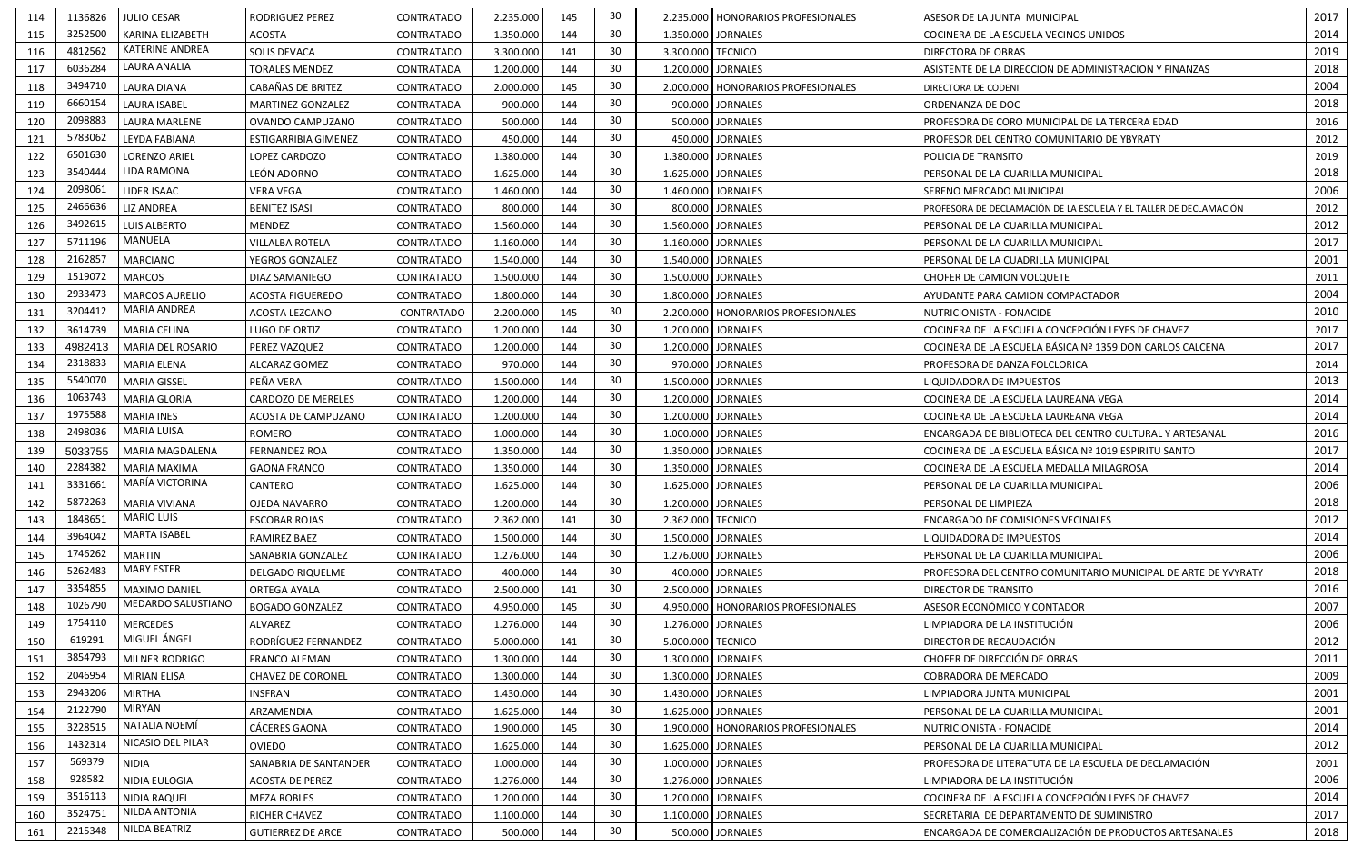| 114 | 1136826 | <b>JULIO CESAR</b>     | <b>RODRIGUEZ PEREZ</b>      | CONTRATADO        | 2.235.000 | 145 | 30 |                     | 2.235.000   HONORARIOS PROFESIONALES | ASESOR DE LA JUNTA MUNICIPAL                                      | 2017 |
|-----|---------|------------------------|-----------------------------|-------------------|-----------|-----|----|---------------------|--------------------------------------|-------------------------------------------------------------------|------|
| 115 | 3252500 | KARINA ELIZABETH       | <b>ACOSTA</b>               | CONTRATADO        | 1.350.000 | 144 | 30 | 1.350.000           | <b>JORNALES</b>                      | COCINERA DE LA ESCUELA VECINOS UNIDOS                             | 2014 |
| 116 | 4812562 | <b>KATERINE ANDREA</b> | SOLIS DEVACA                | <b>CONTRATADO</b> | 3.300.000 | 141 | 30 | 3.300.000   TECNICO |                                      | DIRECTORA DE OBRAS                                                | 2019 |
| 117 | 6036284 | LAURA ANALIA           | <b>TORALES MENDEZ</b>       | CONTRATADA        | 1.200.000 | 144 | 30 | 1.200.000           | <b>JORNALES</b>                      | ASISTENTE DE LA DIRECCION DE ADMINISTRACION Y FINANZAS            | 2018 |
| 118 | 3494710 | <b>LAURA DIANA</b>     | CABAÑAS DE BRITEZ           | <b>CONTRATADO</b> | 2.000.000 | 145 | 30 |                     | 2.000.000   HONORARIOS PROFESIONALES | DIRECTORA DE CODENI                                               | 2004 |
| 119 | 6660154 | <b>LAURA ISABEL</b>    | MARTINEZ GONZALEZ           | CONTRATADA        | 900.000   | 144 | 30 |                     | 900.000 JORNALES                     | ORDENANZA DE DOC                                                  | 2018 |
| 120 | 2098883 | <b>LAURA MARLENE</b>   | OVANDO CAMPUZANO            | CONTRATADO        | 500.000   | 144 | 30 |                     | 500.000 JORNALES                     | PROFESORA DE CORO MUNICIPAL DE LA TERCERA EDAD                    | 2016 |
| 121 | 5783062 | LEYDA FABIANA          | <b>ESTIGARRIBIA GIMENEZ</b> | CONTRATADO        | 450.000   | 144 | 30 |                     | 450.000 JORNALES                     | PROFESOR DEL CENTRO COMUNITARIO DE YBYRATY                        | 2012 |
| 122 | 6501630 | <b>LORENZO ARIEL</b>   | LOPEZ CARDOZO               | <b>CONTRATADO</b> | 1.380.000 | 144 | 30 | 1.380.000           | <b>JORNALES</b>                      | POLICIA DE TRANSITO                                               | 2019 |
| 123 | 3540444 | LIDA RAMONA            | LEÓN ADORNO                 | <b>CONTRATADO</b> | 1.625.000 | 144 | 30 | 1.625.000           | <b>JORNALES</b>                      | PERSONAL DE LA CUARILLA MUNICIPAL                                 | 2018 |
| 124 | 2098061 | LIDER ISAAC            | <b>VERA VEGA</b>            | <b>CONTRATADO</b> | 1.460.000 | 144 | 30 | 1.460.000           | <b>JORNALES</b>                      | SERENO MERCADO MUNICIPAL                                          | 2006 |
| 125 | 2466636 | <b>LIZ ANDREA</b>      | <b>BENITEZ ISASI</b>        | CONTRATADO        | 800.000   | 144 | 30 |                     | 800.000 JORNALES                     | PROFESORA DE DECLAMACIÓN DE LA ESCUELA Y EL TALLER DE DECLAMACIÓN | 2012 |
| 126 | 3492615 | <b>LUIS ALBERTO</b>    | <b>MENDEZ</b>               | CONTRATADO        | 1.560.000 | 144 | 30 |                     | 1.560.000   JORNALES                 | PERSONAL DE LA CUARILLA MUNICIPAL                                 | 2012 |
| 127 | 5711196 | MANUELA                | <b>VILLALBA ROTELA</b>      | <b>CONTRATADO</b> | 1.160.000 | 144 | 30 |                     | 1.160.000 JORNALES                   | PERSONAL DE LA CUARILLA MUNICIPAL                                 | 2017 |
| 128 | 2162857 | <b>MARCIANO</b>        | YEGROS GONZALEZ             | <b>CONTRATADO</b> | 1.540.000 | 144 | 30 |                     | 1.540.000   JORNALES                 | PERSONAL DE LA CUADRILLA MUNICIPAL                                | 2001 |
| 129 | 1519072 | <b>MARCOS</b>          | <b>DIAZ SAMANIEGO</b>       | <b>CONTRATADO</b> | 1.500.000 | 144 | 30 |                     | 1.500.000 JORNALES                   | CHOFER DE CAMION VOLQUETE                                         | 2011 |
| 130 | 2933473 | <b>MARCOS AURELIO</b>  | <b>ACOSTA FIGUEREDO</b>     | <b>CONTRATADO</b> | 1.800.000 | 144 | 30 |                     | 1.800.000   JORNALES                 | AYUDANTE PARA CAMION COMPACTADOR                                  | 2004 |
| 131 | 3204412 | <b>MARIA ANDREA</b>    | <b>ACOSTA LEZCANO</b>       | CONTRATADO        | 2.200.000 | 145 | 30 |                     | 2.200.000   HONORARIOS PROFESIONALES | NUTRICIONISTA - FONACIDE                                          | 2010 |
| 132 | 3614739 | <b>MARIA CELINA</b>    | LUGO DE ORTIZ               | <b>CONTRATADO</b> | 1.200.000 | 144 | 30 |                     | 1.200.000 JORNALES                   | COCINERA DE LA ESCUELA CONCEPCIÓN LEYES DE CHAVEZ                 | 2017 |
| 133 | 4982413 | MARIA DEL ROSARIO      | PEREZ VAZQUEZ               | <b>CONTRATADO</b> | 1.200.000 | 144 | 30 |                     | 1.200.000 JORNALES                   | COCINERA DE LA ESCUELA BÁSICA Nº 1359 DON CARLOS CALCENA          | 2017 |
| 134 | 2318833 | <b>MARIA ELENA</b>     | ALCARAZ GOMEZ               | CONTRATADO        | 970.000   | 144 | 30 |                     | 970.000 JORNALES                     | PROFESORA DE DANZA FOLCLORICA                                     | 2014 |
| 135 | 5540070 | <b>MARIA GISSEL</b>    | PEÑA VERA                   | <b>CONTRATADO</b> | 1.500.000 | 144 | 30 | 1.500.000           | <b>JORNALES</b>                      | LIQUIDADORA DE IMPUESTOS                                          | 2013 |
| 136 | 1063743 | <b>MARIA GLORIA</b>    | CARDOZO DE MERELES          | CONTRATADO        | 1.200.000 | 144 | 30 |                     | 1.200.000 JORNALES                   | COCINERA DE LA ESCUELA LAUREANA VEGA                              | 2014 |
| 137 | 1975588 | <b>MARIA INES</b>      | ACOSTA DE CAMPUZANO         | CONTRATADO        | 1.200.000 | 144 | 30 |                     | 1.200.000 JORNALES                   | COCINERA DE LA ESCUELA LAUREANA VEGA                              | 2014 |
| 138 | 2498036 | <b>MARIA LUISA</b>     | <b>ROMERO</b>               | CONTRATADO        | 1.000.000 | 144 | 30 |                     | 1.000.000   JORNALES                 | ENCARGADA DE BIBLIOTECA DEL CENTRO CULTURAL Y ARTESANAL           | 2016 |
| 139 | 5033755 | MARIA MAGDALENA        | <b>FERNANDEZ ROA</b>        | <b>CONTRATADO</b> | 1.350.000 | 144 | 30 |                     | 1.350.000 JORNALES                   | COCINERA DE LA ESCUELA BÁSICA Nº 1019 ESPIRITU SANTO              | 2017 |
| 140 | 2284382 | <b>MARIA MAXIMA</b>    | <b>GAONA FRANCO</b>         | CONTRATADO        | 1.350.000 | 144 | 30 | 1.350.000           | <b>JORNALES</b>                      | COCINERA DE LA ESCUELA MEDALLA MILAGROSA                          | 2014 |
| 141 | 3331661 | MARÍA VICTORINA        | CANTERO                     | <b>CONTRATADO</b> | 1.625.000 | 144 | 30 |                     | 1.625.000 JORNALES                   | PERSONAL DE LA CUARILLA MUNICIPAL                                 | 2006 |
| 142 | 5872263 | <b>MARIA VIVIANA</b>   | OJEDA NAVARRO               | CONTRATADO        | 1.200.000 | 144 | 30 |                     | 1.200.000 JORNALES                   | PERSONAL DE LIMPIEZA                                              | 2018 |
| 143 | 1848651 | <b>MARIO LUIS</b>      | <b>ESCOBAR ROJAS</b>        | CONTRATADO        | 2.362.000 | 141 | 30 | 2.362.000   TECNICO |                                      | ENCARGADO DE COMISIONES VECINALES                                 | 2012 |
| 144 | 3964042 | <b>MARTA ISABEL</b>    | RAMIREZ BAEZ                | CONTRATADO        | 1.500.000 | 144 | 30 | 1.500.000           | <b>JORNALES</b>                      | LIQUIDADORA DE IMPUESTOS                                          | 2014 |
| 145 | 1746262 | <b>MARTIN</b>          | SANABRIA GONZALEZ           | CONTRATADO        | 1.276.000 | 144 | 30 |                     | 1.276.000 JORNALES                   | PERSONAL DE LA CUARILLA MUNICIPAL                                 | 2006 |
| 146 | 5262483 | MARY ESTER             | <b>DELGADO RIQUELME</b>     | CONTRATADO        | 400.000   | 144 | 30 |                     | 400.000 JORNALES                     | PROFESORA DEL CENTRO COMUNITARIO MUNICIPAL DE ARTE DE YVYRATY     | 2018 |
| 147 | 3354855 | MAXIMO DANIEL          | ORTEGA AYALA                | CONTRATADO        | 2.500.000 | 141 | 30 |                     | 2.500.000 JORNALES                   | DIRECTOR DE TRANSITO                                              | 2016 |
| 148 | 1026790 | MEDARDO SALUSTIANO     | <b>BOGADO GONZALEZ</b>      | CONTRATADO        | 4.950.000 | 145 | 30 |                     | 4.950.000   HONORARIOS PROFESIONALES | ASESOR ECONÓMICO Y CONTADOR                                       | 2007 |
| 149 | 1754110 | <b>MERCEDES</b>        | <b>ALVAREZ</b>              | CONTRATADO        | 1.276.000 | 144 | 30 |                     | 1.276.000 JORNALES                   | LIMPIADORA DE LA INSTITUCIÓN                                      | 2006 |
| 150 | 619291  | MIGUEL ÁNGEL           | RODRÍGUEZ FERNANDEZ         | CONTRATADO        | 5.000.000 | 141 | 30 | 5.000.000   TECNICO |                                      | DIRECTOR DE RECAUDACIÓN                                           | 2012 |
| 151 | 3854793 | MILNER RODRIGO         | <b>FRANCO ALEMAN</b>        | CONTRATADO        | 1.300.000 | 144 | 30 |                     | 1.300.000 JORNALES                   | CHOFER DE DIRECCIÓN DE OBRAS                                      | 2011 |
| 152 | 2046954 | <b>MIRIAN ELISA</b>    | CHAVEZ DE CORONEL           | CONTRATADO        | 1.300.000 | 144 | 30 |                     | 1.300.000 JORNALES                   | COBRADORA DE MERCADO                                              | 2009 |
| 153 | 2943206 | <b>MIRTHA</b>          | <b>INSFRAN</b>              | CONTRATADO        | 1.430.000 | 144 | 30 |                     | 1.430.000 JORNALES                   | LIMPIADORA JUNTA MUNICIPAL                                        | 2001 |
| 154 | 2122790 | <b>MIRYAN</b>          | ARZAMENDIA                  | CONTRATADO        | 1.625.000 | 144 | 30 |                     | 1.625.000 JORNALES                   | PERSONAL DE LA CUARILLA MUNICIPAL                                 | 2001 |
| 155 | 3228515 | NATALIA NOEMÍ          | CÁCERES GAONA               | CONTRATADO        | 1.900.000 | 145 | 30 |                     | 1.900.000   HONORARIOS PROFESIONALES | NUTRICIONISTA - FONACIDE                                          | 2014 |
| 156 | 1432314 | NICASIO DEL PILAR      | <b>OVIEDO</b>               | CONTRATADO        | 1.625.000 | 144 | 30 |                     | 1.625.000 JORNALES                   | PERSONAL DE LA CUARILLA MUNICIPAL                                 | 2012 |
| 157 | 569379  | <b>NIDIA</b>           | SANABRIA DE SANTANDER       | CONTRATADO        | 1.000.000 | 144 | 30 |                     | 1.000.000 JORNALES                   | PROFESORA DE LITERATUTA DE LA ESCUELA DE DECLAMACIÓN              | 2001 |
| 158 | 928582  | NIDIA EULOGIA          | ACOSTA DE PEREZ             | CONTRATADO        | 1.276.000 | 144 | 30 |                     | 1.276.000 JORNALES                   | LIMPIADORA DE LA INSTITUCIÓN                                      | 2006 |
| 159 | 3516113 | <b>NIDIA RAQUEL</b>    | <b>MEZA ROBLES</b>          | CONTRATADO        | 1.200.000 | 144 | 30 |                     | 1.200.000 JORNALES                   | COCINERA DE LA ESCUELA CONCEPCIÓN LEYES DE CHAVEZ                 | 2014 |
| 160 | 3524751 | <b>NILDA ANTONIA</b>   | RICHER CHAVEZ               | CONTRATADO        | 1.100.000 | 144 | 30 |                     | 1.100.000 JORNALES                   | SECRETARIA DE DEPARTAMENTO DE SUMINISTRO                          | 2017 |
| 161 | 2215348 | NILDA BEATRIZ          | <b>GUTIERREZ DE ARCE</b>    | CONTRATADO        | 500.000   | 144 | 30 |                     | 500.000 JORNALES                     | ENCARGADA DE COMERCIALIZACIÓN DE PRODUCTOS ARTESANALES            | 2018 |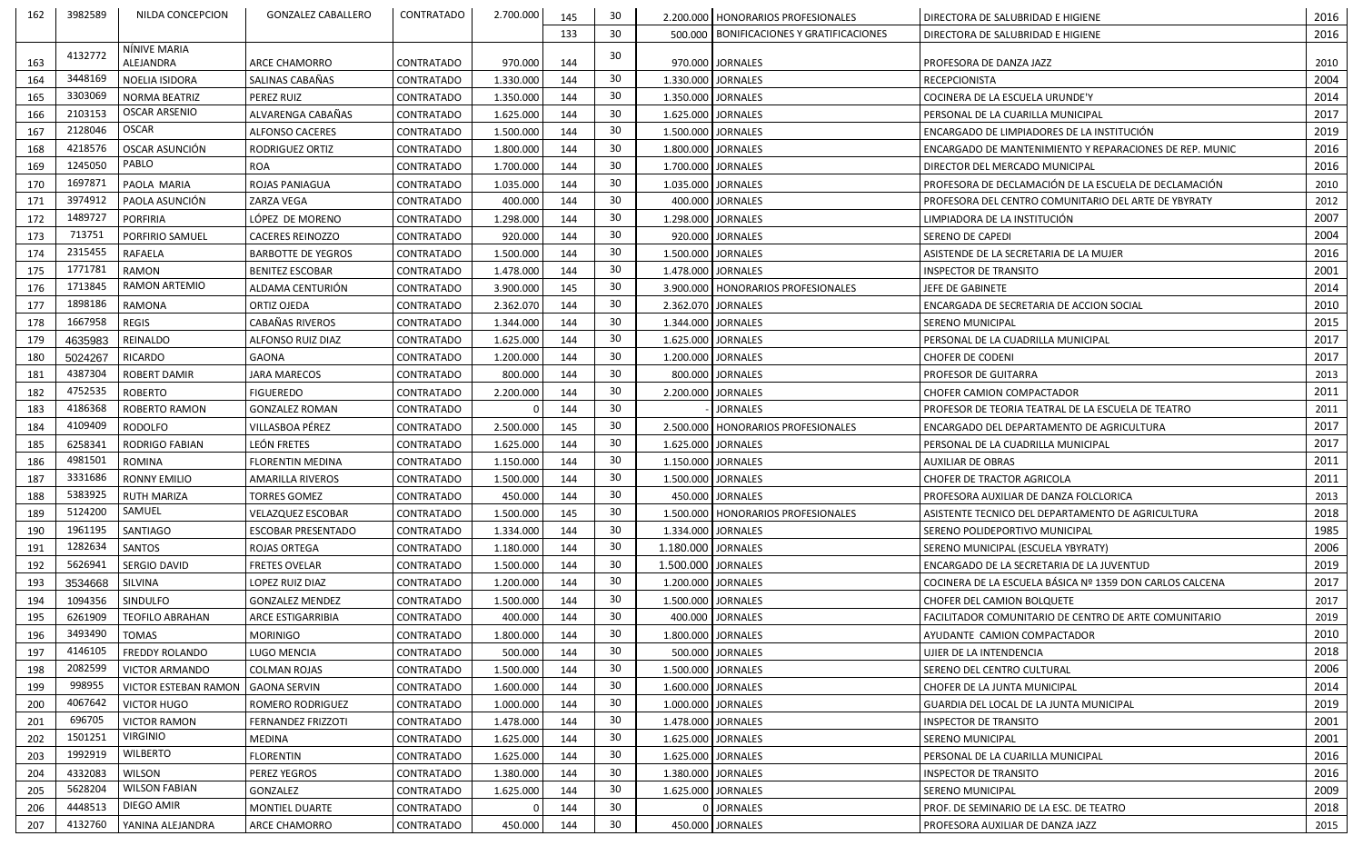| 162 | 3982589            | NILDA CONCEPCION             | <b>GONZALEZ CABALLERO</b> | CONTRATADO        | 2.700.000 | 145 | 30 |                    | 2.200.000   HONORARIOS PROFESIONALES       | DIRECTORA DE SALUBRIDAD E HIGIENE                        | 2016 |
|-----|--------------------|------------------------------|---------------------------|-------------------|-----------|-----|----|--------------------|--------------------------------------------|----------------------------------------------------------|------|
|     |                    |                              |                           |                   |           | 133 | 30 |                    | 500.000   BONIFICACIONES Y GRATIFICACIONES | DIRECTORA DE SALUBRIDAD E HIGIENE                        | 2016 |
|     | 4132772            | NÍNIVE MARIA                 |                           |                   |           |     | 30 |                    |                                            |                                                          |      |
| 163 |                    | ALEJANDRA                    | ARCE CHAMORRO             | CONTRATADO        | 970.000   | 144 |    |                    | 970.000 JORNALES                           | PROFESORA DE DANZA JAZZ                                  | 2010 |
| 164 | 3448169            | NOELIA ISIDORA               | SALINAS CABAÑAS           | <b>CONTRATADO</b> | 1.330.000 | 144 | 30 |                    | 1.330.000 JORNALES                         | <b>RECEPCIONISTA</b>                                     | 2004 |
| 165 | 3303069            | <b>NORMA BEATRIZ</b>         | PEREZ RUIZ                | CONTRATADO        | 1.350.000 | 144 | 30 |                    | 1.350.000 JORNALES                         | COCINERA DE LA ESCUELA URUNDE'Y                          | 2014 |
| 166 | 2103153            | <b>OSCAR ARSENIO</b>         | ALVARENGA CABAÑAS         | <b>CONTRATADO</b> | 1.625.000 | 144 | 30 |                    | 1.625.000 JORNALES                         | PERSONAL DE LA CUARILLA MUNICIPAL                        | 2017 |
| 167 | 2128046            | <b>OSCAR</b>                 | <b>ALFONSO CACERES</b>    | CONTRATADO        | 1.500.000 | 144 | 30 |                    | 1.500.000 JORNALES                         | ENCARGADO DE LIMPIADORES DE LA INSTITUCIÓN               | 2019 |
| 168 | 4218576            | OSCAR ASUNCIÓN               | RODRIGUEZ ORTIZ           | CONTRATADO        | 1.800.000 | 144 | 30 |                    | 1.800.000 JORNALES                         | ENCARGADO DE MANTENIMIENTO Y REPARACIONES DE REP. MUNIC  | 2016 |
| 169 | 1245050            | PABLO                        | <b>ROA</b>                | <b>CONTRATADO</b> | 1.700.000 | 144 | 30 |                    | 1.700.000 JORNALES                         | DIRECTOR DEL MERCADO MUNICIPAL                           | 2016 |
| 170 | 1697871            | PAOLA MARIA                  | ROJAS PANIAGUA            | CONTRATADO        | 1.035.000 | 144 | 30 |                    | 1.035.000 JORNALES                         | PROFESORA DE DECLAMACIÓN DE LA ESCUELA DE DECLAMACIÓN    | 2010 |
| 171 | 3974912            | PAOLA ASUNCIÓN               | ZARZA VEGA                | CONTRATADO        | 400.000   | 144 | 30 |                    | 400.000 JORNALES                           | PROFESORA DEL CENTRO COMUNITARIO DEL ARTE DE YBYRATY     | 2012 |
| 172 | 1489727            | PORFIRIA                     | LÓPEZ DE MORENO           | CONTRATADO        | 1.298.000 | 144 | 30 |                    | 1.298.000 JORNALES                         | LIMPIADORA DE LA INSTITUCIÓN                             | 2007 |
| 173 | 713751             | <b>PORFIRIO SAMUEL</b>       | <b>CACERES REINOZZO</b>   | <b>CONTRATADO</b> | 920.000   | 144 | 30 |                    | 920.000 JORNALES                           | <b>SERENO DE CAPEDI</b>                                  | 2004 |
| 174 | 2315455            | <b>RAFAELA</b>               | <b>BARBOTTE DE YEGROS</b> | CONTRATADO        | 1.500.000 | 144 | 30 |                    | 1.500.000 JORNALES                         | ASISTENDE DE LA SECRETARIA DE LA MUJER                   | 2016 |
| 175 | 1771781            | <b>RAMON</b>                 | <b>BENITEZ ESCOBAR</b>    | CONTRATADO        | 1.478.000 | 144 | 30 |                    | 1.478.000 JORNALES                         | <b>INSPECTOR DE TRANSITO</b>                             | 2001 |
| 176 | 1713845            | <b>RAMON ARTEMIO</b>         | ALDAMA CENTURIÓN          | <b>CONTRATADO</b> | 3.900.000 | 145 | 30 |                    | 3.900.000   HONORARIOS PROFESIONALES       | JEFE DE GABINETE                                         | 2014 |
| 177 | 1898186            | <b>RAMONA</b>                | ORTIZ OJEDA               | CONTRATADO        | 2.362.070 | 144 | 30 |                    | 2.362.070 JORNALES                         | ENCARGADA DE SECRETARIA DE ACCION SOCIAL                 | 2010 |
| 178 | 1667958            | <b>REGIS</b>                 | CABAÑAS RIVEROS           | <b>CONTRATADO</b> | 1.344.000 | 144 | 30 |                    | 1.344.000 JORNALES                         | <b>SERENO MUNICIPAL</b>                                  | 2015 |
| 179 | 4635983            | REINALDO                     | ALFONSO RUIZ DIAZ         | <b>CONTRATADO</b> | 1.625.000 | 144 | 30 |                    | 1.625.000 JORNALES                         | PERSONAL DE LA CUADRILLA MUNICIPAL                       | 2017 |
| 180 | 5024267            | <b>RICARDO</b>               | GAONA                     | CONTRATADO        | 1.200.000 | 144 | 30 |                    | 1.200.000 JORNALES                         | <b>CHOFER DE CODENI</b>                                  | 2017 |
| 181 | 4387304            | <b>ROBERT DAMIR</b>          | <b>JARA MARECOS</b>       | <b>CONTRATADO</b> | 800.000   | 144 | 30 |                    | 800.000 JORNALES                           | PROFESOR DE GUITARRA                                     | 2013 |
| 182 | 4752535            | ROBERTO                      | <b>FIGUEREDO</b>          | CONTRATADO        | 2.200.000 | 144 | 30 |                    | 2.200.000 JORNALES                         | CHOFER CAMION COMPACTADOR                                | 2011 |
| 183 | 4186368            | <b>ROBERTO RAMON</b>         | <b>GONZALEZ ROMAN</b>     | CONTRATADO        |           | 144 | 30 |                    | <b>JORNALES</b>                            | PROFESOR DE TEORIA TEATRAL DE LA ESCUELA DE TEATRO       | 2011 |
|     | 4109409            | <b>RODOLFO</b>               | VILLASBOA PÉREZ           |                   | 2.500.000 | 145 | 30 |                    |                                            |                                                          | 2017 |
| 184 |                    |                              |                           | CONTRATADO        |           |     | 30 |                    | 2.500.000   HONORARIOS PROFESIONALES       | ENCARGADO DEL DEPARTAMENTO DE AGRICULTURA                | 2017 |
| 185 | 6258341<br>4981501 | <b>RODRIGO FABIAN</b>        | LEÓN FRETES               | CONTRATADO        | 1.625.000 | 144 | 30 |                    | 1.625.000 JORNALES                         | PERSONAL DE LA CUADRILLA MUNICIPAL                       |      |
| 186 |                    | <b>ROMINA</b>                | <b>FLORENTIN MEDINA</b>   | CONTRATADO        | 1.150.000 | 144 |    |                    | 1.150.000 JORNALES                         | <b>AUXILIAR DE OBRAS</b>                                 | 2011 |
| 187 | 3331686            | <b>RONNY EMILIO</b>          | <b>AMARILLA RIVEROS</b>   | CONTRATADO        | 1.500.000 | 144 | 30 |                    | 1.500.000 JORNALES                         | <b>CHOFER DE TRACTOR AGRICOLA</b>                        | 2011 |
| 188 | 5383925            | <b>RUTH MARIZA</b><br>SAMUEL | <b>TORRES GOMEZ</b>       | CONTRATADO        | 450.000   | 144 | 30 |                    | 450.000 JORNALES                           | PROFESORA AUXILIAR DE DANZA FOLCLORICA                   | 2013 |
| 189 | 5124200            |                              | <b>VELAZQUEZ ESCOBAR</b>  | <b>CONTRATADO</b> | 1.500.000 | 145 | 30 |                    | 1.500.000   HONORARIOS PROFESIONALES       | ASISTENTE TECNICO DEL DEPARTAMENTO DE AGRICULTURA        | 2018 |
| 190 | 1961195            | SANTIAGO                     | <b>ESCOBAR PRESENTADO</b> | CONTRATADO        | 1.334.000 | 144 | 30 |                    | 1.334.000 JORNALES                         | SERENO POLIDEPORTIVO MUNICIPAL                           | 1985 |
| 191 | 1282634            | <b>SANTOS</b>                | ROJAS ORTEGA              | CONTRATADO        | 1.180.000 | 144 | 30 | 1.180.000 JORNALES |                                            | SERENO MUNICIPAL (ESCUELA YBYRATY)                       | 2006 |
| 192 | 5626941            | SERGIO DAVID                 | <b>FRETES OVELAR</b>      | CONTRATADO        | 1.500.000 | 144 | 30 | 1.500.000 JORNALES |                                            | ENCARGADO DE LA SECRETARIA DE LA JUVENTUD                | 2019 |
| 193 | 3534668            | SILVINA                      | LOPEZ RUIZ DIAZ           | CONTRATADO        | 1.200.000 | 144 | 30 |                    | 1.200.000 JORNALES                         | COCINERA DE LA ESCUELA BÁSICA Nº 1359 DON CARLOS CALCENA | 2017 |
| 194 | 1094356            | SINDULFO                     | <b>GONZALEZ MENDEZ</b>    | CONTRATADO        | 1.500.000 | 144 | 30 |                    | 1.500.000 JORNALES                         | CHOFER DEL CAMION BOLQUETE                               | 2017 |
| 195 | 6261909            | <b>TEOFILO ABRAHAN</b>       | ARCE ESTIGARRIBIA         | CONTRATADO        | 400.000   | 144 | 30 |                    | 400.000 JORNALES                           | FACILITADOR COMUNITARIO DE CENTRO DE ARTE COMUNITARIO    | 2019 |
| 196 | 3493490            | <b>TOMAS</b>                 | <b>MORINIGO</b>           | CONTRATADO        | 1.800.000 | 144 | 30 |                    | 1.800.000 JORNALES                         | AYUDANTE CAMION COMPACTADOR                              | 2010 |
| 197 | 4146105            | <b>FREDDY ROLANDO</b>        | LUGO MENCIA               | CONTRATADO        | 500.000   | 144 | 30 |                    | 500.000 JORNALES                           | UJIER DE LA INTENDENCIA                                  | 2018 |
| 198 | 2082599            | <b>VICTOR ARMANDO</b>        | COLMAN ROJAS              | CONTRATADO        | 1.500.000 | 144 | 30 |                    | 1.500.000 JORNALES                         | SERENO DEL CENTRO CULTURAL                               | 2006 |
| 199 | 998955             | <b>VICTOR ESTEBAN RAMON</b>  | <b>GAONA SERVIN</b>       | CONTRATADO        | 1.600.000 | 144 | 30 |                    | 1.600.000 JORNALES                         | CHOFER DE LA JUNTA MUNICIPAL                             | 2014 |
| 200 | 4067642            | <b>VICTOR HUGO</b>           | ROMERO RODRIGUEZ          | CONTRATADO        | 1.000.000 | 144 | 30 |                    | 1.000.000 JORNALES                         | GUARDIA DEL LOCAL DE LA JUNTA MUNICIPAL                  | 2019 |
| 201 | 696705             | <b>VICTOR RAMON</b>          | <b>FERNANDEZ FRIZZOTI</b> | CONTRATADO        | 1.478.000 | 144 | 30 |                    | 1.478.000 JORNALES                         | <b>INSPECTOR DE TRANSITO</b>                             | 2001 |
| 202 | 1501251            | <b>VIRGINIO</b>              | MEDINA                    | CONTRATADO        | 1.625.000 | 144 | 30 |                    | 1.625.000 JORNALES                         | SERENO MUNICIPAL                                         | 2001 |
| 203 | 1992919            | <b>WILBERTO</b>              | <b>FLORENTIN</b>          | CONTRATADO        | 1.625.000 | 144 | 30 |                    | 1.625.000 JORNALES                         | PERSONAL DE LA CUARILLA MUNICIPAL                        | 2016 |
| 204 | 4332083            | <b>WILSON</b>                | PEREZ YEGROS              | CONTRATADO        | 1.380.000 | 144 | 30 |                    | 1.380.000 JORNALES                         | <b>INSPECTOR DE TRANSITO</b>                             | 2016 |
| 205 | 5628204            | <b>WILSON FABIAN</b>         | GONZALEZ                  | CONTRATADO        | 1.625.000 | 144 | 30 |                    | 1.625.000 JORNALES                         | <b>SERENO MUNICIPAL</b>                                  | 2009 |
| 206 | 4448513            | DIEGO AMIR                   | MONTIEL DUARTE            | CONTRATADO        |           | 144 | 30 |                    | 0 JORNALES                                 | PROF. DE SEMINARIO DE LA ESC. DE TEATRO                  | 2018 |
| 207 | 4132760            | YANINA ALEJANDRA             | ARCE CHAMORRO             | CONTRATADO        | 450.000   | 144 | 30 |                    | 450.000 JORNALES                           | PROFESORA AUXILIAR DE DANZA JAZZ                         | 2015 |
|     |                    |                              |                           |                   |           |     |    |                    |                                            |                                                          |      |